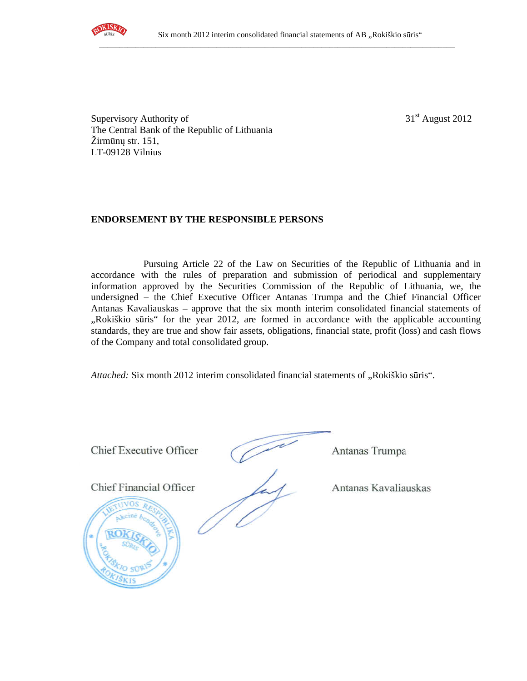

Supervisory Authority of  $31<sup>st</sup>$  August 2012 The Central Bank of the Republic of Lithuania Žirmūnų str. 151, LT-09128 Vilnius

## **ENDORSEMENT BY THE RESPONSIBLE PERSONS**

Pursuing Article 22 of the Law on Securities of the Republic of Lithuania and in accordance with the rules of preparation and submission of periodical and supplementary information approved by the Securities Commission of the Republic of Lithuania, we, the undersigned – the Chief Executive Officer Antanas Trumpa and the Chief Financial Officer Antanas Kavaliauskas – approve that the six month interim consolidated financial statements of "Rokiškio sūris" for the year 2012, are formed in accordance with the applicable accounting standards, they are true and show fair assets, obligations, financial state, profit (loss) and cash flows of the Company and total consolidated group.

*Attached:* Six month 2012 interim consolidated financial statements of "Rokiškio sūris".

Chief Executive Officer (Antanas Trumpa

Chief Financial Officer Antanas Kavaliauskas

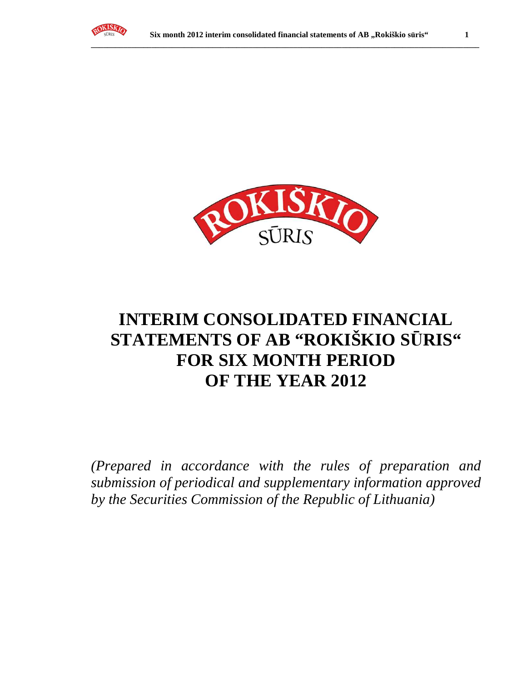



# **INTERIM CONSOLIDATED FINANCIAL STATEMENTS OF AB "ROKIŠKIO S**Ū**RIS" FOR SIX MONTH PERIOD OF THE YEAR 2012**

*(Prepared in accordance with the rules of preparation and submission of periodical and supplementary information approved by the Securities Commission of the Republic of Lithuania)*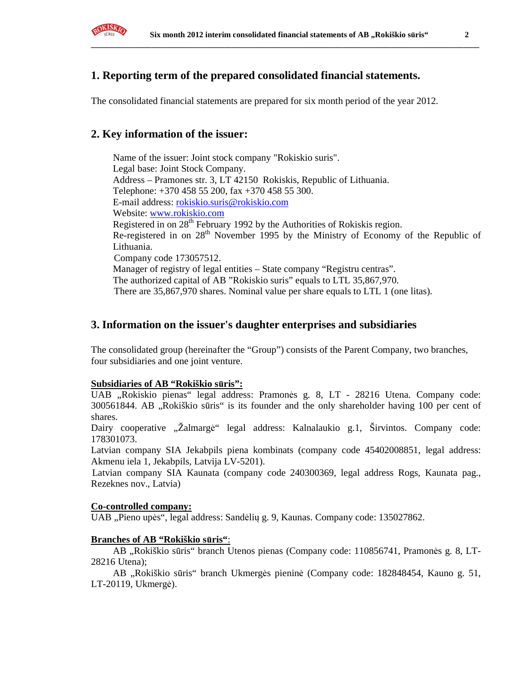

# **1. Reporting term of the prepared consolidated financial statements.**

The consolidated financial statements are prepared for six month period of the year 2012.

## **2. Key information of the issuer:**

Name of the issuer: Joint stock company "Rokiskio suris". Legal base: Joint Stock Company. Address – Pramones str. 3, LT 42150 Rokiskis, Republic of Lithuania. Telephone: +370 458 55 200, fax +370 458 55 300. E-mail address: rokiskio.suris@rokiskio.com Website: www.rokiskio.com Registered in on  $28<sup>th</sup>$  February 1992 by the Authorities of Rokiskis region. Re-registered in on 28<sup>th</sup> November 1995 by the Ministry of Economy of the Republic of Lithuania. Company code 173057512. Manager of registry of legal entities – State company "Registru centras". The authorized capital of AB "Rokiskio suris" equals to LTL 35,867,970. There are 35,867,970 shares. Nominal value per share equals to LTL 1 (one litas).

## **3. Information on the issuer's daughter enterprises and subsidiaries**

The consolidated group (hereinafter the "Group") consists of the Parent Company, two branches, four subsidiaries and one joint venture.

### **Subsidiaries of AB "Rokiškio s**ū**ris":**

UAB "Rokiskio pienas" legal address: Pramonės g. 8, LT - 28216 Utena. Company code: 300561844. AB "Rokiškio sūris" is its founder and the only shareholder having 100 per cent of shares.

Dairy cooperative "Žalmargė" legal address: Kalnalaukio g.1, Širvintos. Company code: 178301073.

Latvian company SIA Jekabpils piena kombinats (company code 45402008851, legal address: Akmenu iela 1, Jekabpils, Latvija LV-5201).

Latvian company SIA Kaunata (company code 240300369, legal address Rogs, Kaunata pag., Rezeknes nov., Latvia)

### **Co-controlled company:**

UAB "Pieno upės", legal address: Sandėlių g. 9, Kaunas. Company code: 135027862.

### **Branches of AB "Rokiškio s**ū**ris"**:

AB "Rokiškio sūris" branch Utenos pienas (Company code: 110856741, Pramonės g. 8, LT-28216 Utena);

AB "Rokiškio sūris" branch Ukmergės pieninė (Company code: 182848454, Kauno g. 51, LT-20119, Ukmergė).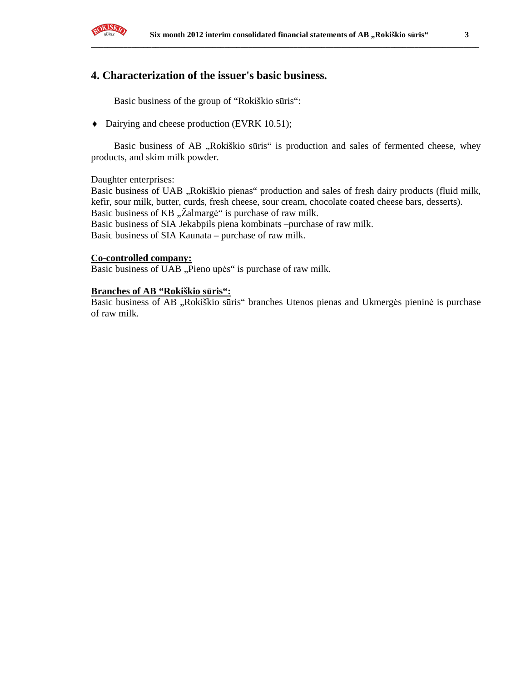

## **4. Characterization of the issuer's basic business.**

Basic business of the group of "Rokiškio sūris":

♦ Dairying and cheese production (EVRK 10.51);

Basic business of AB "Rokiškio sūris" is production and sales of fermented cheese, whey products, and skim milk powder.

Daughter enterprises:

Basic business of UAB "Rokiškio pienas" production and sales of fresh dairy products (fluid milk, kefir, sour milk, butter, curds, fresh cheese, sour cream, chocolate coated cheese bars, desserts). Basic business of KB "Žalmargė" is purchase of raw milk. Basic business of SIA Jekabpils piena kombinats –purchase of raw milk. Basic business of SIA Kaunata – purchase of raw milk.

### **Co-controlled company:**

Basic business of UAB "Pieno upės" is purchase of raw milk.

#### **Branches of AB "Rokiškio s**ū**ris":**

Basic business of AB "Rokiškio sūris" branches Utenos pienas and Ukmergės pieninė is purchase of raw milk.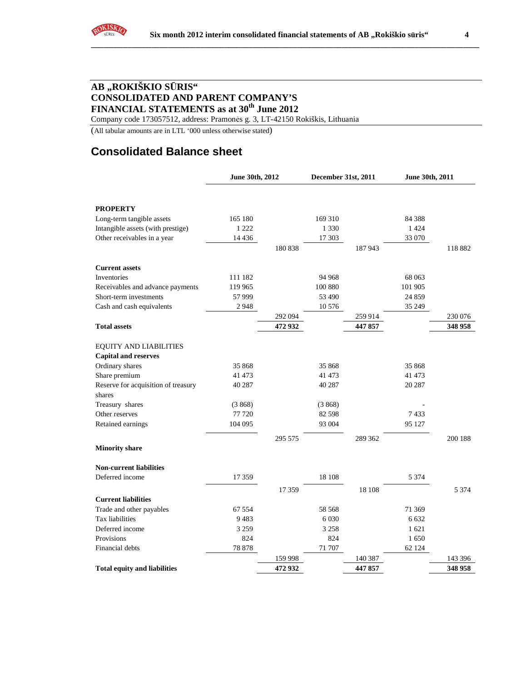

Company code 173057512, address: Pramonės g. 3, LT-42150 Rokiškis, Lithuania

(All tabular amounts are in LTL '000 unless otherwise stated)

# **Consolidated Balance sheet**

|                                     | June 30th, 2012 |         | December 31st, 2011 |         | June 30th, 2011 |         |
|-------------------------------------|-----------------|---------|---------------------|---------|-----------------|---------|
|                                     |                 |         |                     |         |                 |         |
| <b>PROPERTY</b>                     |                 |         |                     |         |                 |         |
| Long-term tangible assets           | 165 180         |         | 169 310             |         | 84 3 88         |         |
| Intangible assets (with prestige)   | 1 2 2 2         |         | 1 3 3 0             |         | 1 4 2 4         |         |
| Other receivables in a year         | 14 4 36         |         | 17 303              |         | 33 070          |         |
|                                     |                 | 180 838 |                     | 187943  |                 | 118882  |
| <b>Current assets</b>               |                 |         |                     |         |                 |         |
| Inventories                         | 111 182         |         | 94 968              |         | 68 063          |         |
| Receivables and advance payments    | 119 965         |         | 100 880             |         | 101 905         |         |
| Short-term investments              | 57999           |         | 53 490              |         | 24 859          |         |
| Cash and cash equivalents           | 2948            |         | 10 576              |         | 35 249          |         |
|                                     |                 | 292 094 |                     | 259 914 |                 | 230 076 |
| <b>Total assets</b>                 |                 | 472 932 |                     | 447857  |                 | 348 958 |
| <b>EQUITY AND LIABILITIES</b>       |                 |         |                     |         |                 |         |
| <b>Capital and reserves</b>         |                 |         |                     |         |                 |         |
| Ordinary shares                     | 35 868          |         | 35 868              |         | 35 868          |         |
| Share premium                       | 41 473          |         | 41 473              |         | 41 473          |         |
| Reserve for acquisition of treasury | 40 287          |         | 40 287              |         | 20 287          |         |
| shares                              |                 |         |                     |         |                 |         |
| Treasury shares                     | (3868)          |         | (3868)              |         |                 |         |
| Other reserves                      | 77 720          |         | 82 5 98             |         | 7433            |         |
| Retained earnings                   | 104 095         |         | 93 004              |         | 95 127          |         |
| <b>Minority share</b>               |                 | 295 575 |                     | 289 362 |                 | 200 188 |
| <b>Non-current liabilities</b>      |                 |         |                     |         |                 |         |
| Deferred income                     | 17 359          |         | 18 108              |         | 5 3 7 4         |         |
|                                     |                 | 17 359  |                     | 18 10 8 |                 | 5 3 7 4 |
| <b>Current liabilities</b>          |                 |         |                     |         |                 |         |
| Trade and other payables            | 67 554          |         | 58 568              |         | 71 369          |         |
| Tax liabilities                     | 9483            |         | 6 0 3 0             |         | 6 6 3 2         |         |
| Deferred income                     | 3 2 5 9         |         | 3 2 5 8             |         | 1621            |         |
| Provisions                          | 824             |         | 824                 |         | 1 650           |         |
| Financial debts                     | 78 878          |         | 71 707              |         | 62 124          |         |
|                                     |                 | 159 998 |                     | 140 387 |                 | 143 396 |
| <b>Total equity and liabilities</b> |                 | 472 932 |                     | 447 857 |                 | 348 958 |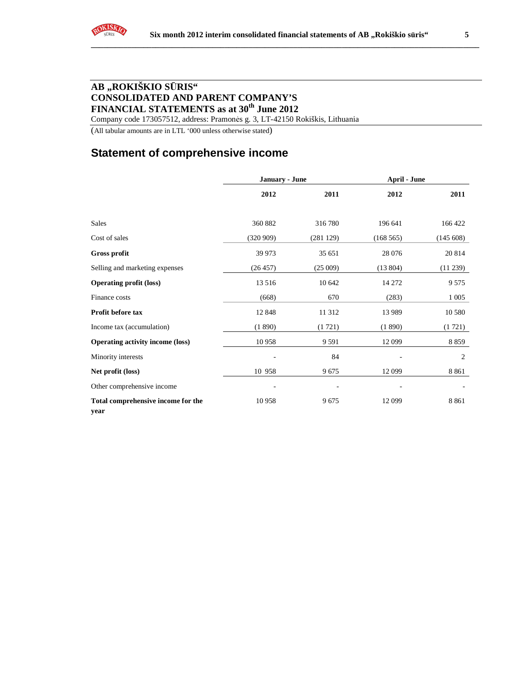Company code 173057512, address: Pramonės g. 3, LT-42150 Rokiškis, Lithuania

(All tabular amounts are in LTL '000 unless otherwise stated)

# **Statement of comprehensive income**

|                                            | <b>January - June</b> |          | <b>April - June</b> |             |  |
|--------------------------------------------|-----------------------|----------|---------------------|-------------|--|
|                                            | 2012                  | 2011     | 2012                | 2011        |  |
| Sales                                      | 360 882               | 316780   | 196 641             | 166 422     |  |
| Cost of sales                              | (320909)              | (281129) | (168565)            | (145608)    |  |
| <b>Gross profit</b>                        | 39 973                | 35 651   | 28 0 76             | 20 814      |  |
| Selling and marketing expenses             | (26 457)              | (25009)  | (13804)             | $(11\,239)$ |  |
| <b>Operating profit (loss)</b>             | 13 5 16               | 10 642   | 14 272              | 9 5 7 5     |  |
| Finance costs                              | (668)                 | 670      | (283)               | 1 0 0 5     |  |
| Profit before tax                          | 12 848                | 11 3 12  | 13 9 89             | 10 580      |  |
| Income tax (accumulation)                  | (1890)                | (1721)   | (1890)              | (1721)      |  |
| <b>Operating activity income (loss)</b>    | 10 958                | 9 5 9 1  | 12 099              | 8 8 5 9     |  |
| Minority interests                         |                       | 84       |                     | 2           |  |
| Net profit (loss)                          | 10 958                | 9675     | 12 099              | 8 8 6 1     |  |
| Other comprehensive income                 |                       |          |                     |             |  |
| Total comprehensive income for the<br>year | 10 958                | 9675     | 12 099              | 8 8 6 1     |  |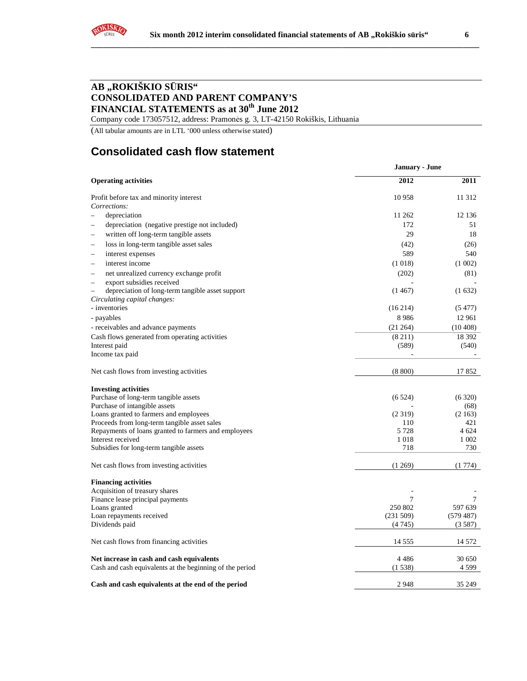

Company code 173057512, address: Pramonės g. 3, LT-42150 Rokiškis, Lithuania

(All tabular amounts are in LTL '000 unless otherwise stated)

# **Consolidated cash flow statement**

|                                                                     | <b>January - June</b> |                  |
|---------------------------------------------------------------------|-----------------------|------------------|
| <b>Operating activities</b>                                         | 2012                  | 2011             |
| Profit before tax and minority interest                             | 10 958                | 11 312           |
| Corrections:                                                        |                       |                  |
| depreciation<br>÷.                                                  | 11 262                | 12 136           |
| depreciation (negative prestige not included)<br>L.                 | 172                   | 51               |
| written off long-term tangible assets<br>$\overline{\phantom{0}}$   | 29                    | 18               |
| loss in long-term tangible asset sales<br>$\overline{\phantom{0}}$  | (42)                  | (26)             |
| interest expenses<br>-                                              | 589                   | 540              |
| interest income<br>Ē.                                               | (1018)                | (1002)           |
| net unrealized currency exchange profit<br>$\overline{\phantom{0}}$ | (202)                 | (81)             |
| export subsidies received<br>$\overline{\phantom{0}}$               |                       |                  |
| depreciation of long-term tangible asset support                    | (1467)                | (1632)           |
| Circulating capital changes:                                        |                       |                  |
| - inventories                                                       | (16214)               | (5477)           |
| - payables                                                          | 8986                  | 12 961           |
| - receivables and advance payments                                  | (21264)               | (10408)          |
| Cash flows generated from operating activities                      | (8211)                | 18 3 9 2         |
| Interest paid                                                       | (589)                 | (540)            |
| Income tax paid                                                     |                       |                  |
| Net cash flows from investing activities                            | (8800)                | 17852            |
| <b>Investing activities</b>                                         |                       |                  |
| Purchase of long-term tangible assets                               | (6524)                | (6320)           |
| Purchase of intangible assets                                       |                       | (68)             |
| Loans granted to farmers and employees                              | (2319)                | (2163)           |
| Proceeds from long-term tangible asset sales                        | 110                   | 421              |
| Repayments of loans granted to farmers and employees                | 5 7 2 8               | 4 624<br>1 0 0 2 |
| Interest received<br>Subsidies for long-term tangible assets        | 1018<br>718           | 730              |
|                                                                     |                       |                  |
| Net cash flows from investing activities                            | (1269)                | (1774)           |
| <b>Financing activities</b>                                         |                       |                  |
| Acquisition of treasury shares                                      |                       |                  |
| Finance lease principal payments                                    | 7                     | 7                |
| Loans granted                                                       | 250 802               | 597 639          |
| Loan repayments received                                            | (231 509)             | (579 487)        |
| Dividends paid                                                      | (4745)                | (3587)           |
| Net cash flows from financing activities                            | 14 5 5 5              | 14 572           |
| Net increase in cash and cash equivalents                           | 4486                  | 30 650           |
| Cash and cash equivalents at the beginning of the period            | (1538)                | 4 5 9 9          |
| Cash and cash equivalents at the end of the period                  | 2948                  | 35 249           |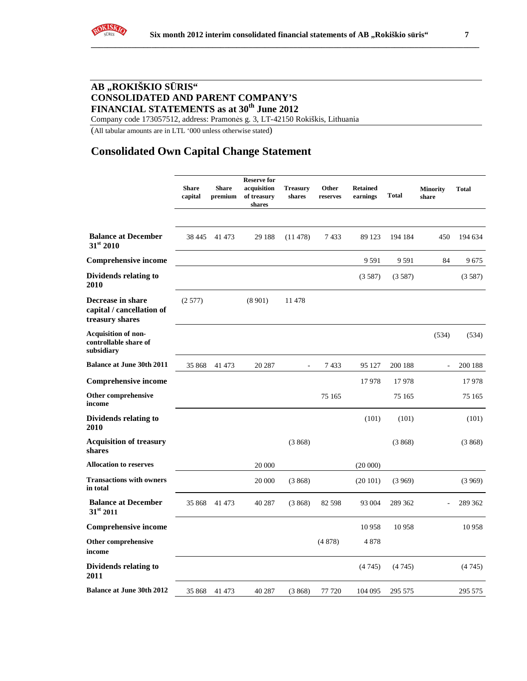Company code 173057512, address: Pramonės g. 3, LT-42150 Rokiškis, Lithuania

(All tabular amounts are in LTL '000 unless otherwise stated)

# **Consolidated Own Capital Change Statement**

|                                                                   | <b>Share</b><br>capital | <b>Share</b><br>premium | <b>Reserve for</b><br>acquisition<br>of treasury<br>shares | <b>Treasury</b><br>shares | Other<br>reserves | <b>Retained</b><br>earnings | <b>Total</b> | <b>Minority</b><br>share | <b>Total</b> |
|-------------------------------------------------------------------|-------------------------|-------------------------|------------------------------------------------------------|---------------------------|-------------------|-----------------------------|--------------|--------------------------|--------------|
| <b>Balance at December</b><br>31st 2010                           | 38 4 45                 | 41 473                  | 29 188                                                     | (11478)                   | 7433              | 89 1 23                     | 194 184      | 450                      | 194 634      |
| <b>Comprehensive income</b>                                       |                         |                         |                                                            |                           |                   | 9 5 9 1                     | 9591         | 84                       | 9675         |
| <b>Dividends relating to</b><br><b>2010</b>                       |                         |                         |                                                            |                           |                   | (3587)                      | (3587)       |                          | (3587)       |
| Decrease in share<br>capital / cancellation of<br>treasury shares | (2577)                  |                         | (8901)                                                     | 11478                     |                   |                             |              |                          |              |
| <b>Acquisition of non-</b><br>controllable share of<br>subsidiary |                         |                         |                                                            |                           |                   |                             |              | (534)                    | (534)        |
| <b>Balance at June 30th 2011</b>                                  | 35 868                  | 41 473                  | 20 287                                                     | ÷,                        | 7433              | 95 127                      | 200 188      | ÷,                       | 200 188      |
| <b>Comprehensive income</b>                                       |                         |                         |                                                            |                           |                   | 17978                       | 17978        |                          | 17978        |
| Other comprehensive<br>income                                     |                         |                         |                                                            |                           | 75 165            |                             | 75 165       |                          | 75 165       |
| <b>Dividends relating to</b><br><b>2010</b>                       |                         |                         |                                                            |                           |                   | (101)                       | (101)        |                          | (101)        |
| <b>Acquisition of treasury</b><br>shares                          |                         |                         |                                                            | (3868)                    |                   |                             | (3868)       |                          | (3868)       |
| <b>Allocation to reserves</b>                                     |                         |                         | 20 000                                                     |                           |                   | (20000)                     |              |                          |              |
| <b>Transactions with owners</b><br>in total                       |                         |                         | 20 000                                                     | (3868)                    |                   | (20101)                     | (3969)       |                          | (3969)       |
| <b>Balance at December</b><br>$31^{\rm st}$ 2011                  | 35 868                  | 41 473                  | 40 287                                                     | (3868)                    | 82 5 98           | 93 004                      | 289 362      |                          | 289 362      |
| <b>Comprehensive income</b>                                       |                         |                         |                                                            |                           |                   | 10958                       | 10958        |                          | 10958        |
| <b>Other comprehensive</b><br>income                              |                         |                         |                                                            |                           | (4878)            | 4878                        |              |                          |              |
| <b>Dividends relating to</b><br>2011                              |                         |                         |                                                            |                           |                   | (4745)                      | (4745)       |                          | (4745)       |
| <b>Balance at June 30th 2012</b>                                  | 35 868                  | 41 473                  | 40 287                                                     | (3868)                    | 77 720            | 104 095                     | 295 575      |                          | 295 575      |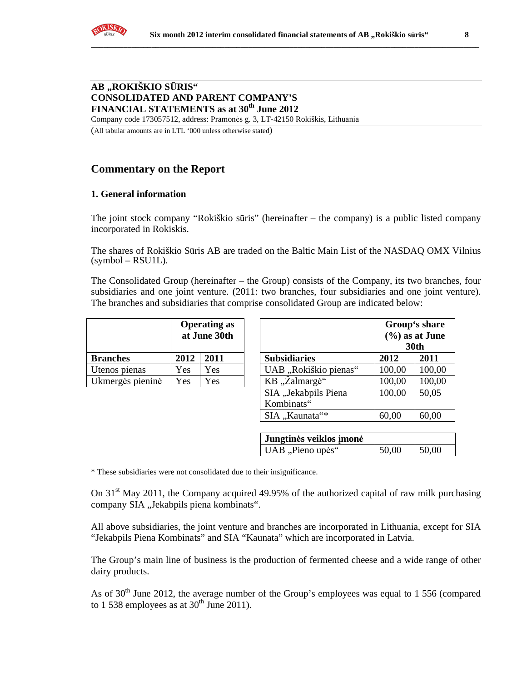Company code 173057512, address: Pramonės g. 3, LT-42150 Rokiškis, Lithuania

(All tabular amounts are in LTL '000 unless otherwise stated)

# **Commentary on the Report**

## **1. General information**

The joint stock company "Rokiškio sūris" (hereinafter – the company) is a public listed company incorporated in Rokiskis.

The shares of Rokiškio Sūris AB are traded on the Baltic Main List of the NASDAQ OMX Vilnius  $(symbol - RSU1L)$ .

The Consolidated Group (hereinafter – the Group) consists of the Company, its two branches, four subsidiaries and one joint venture. (2011: two branches, four subsidiaries and one joint venture). The branches and subsidiaries that comprise consolidated Group are indicated below:

|                  | <b>Operating as</b><br>at June 30th |      |  |
|------------------|-------------------------------------|------|--|
| <b>Branches</b>  | 2012                                | 2011 |  |
| Utenos pienas    | Yes                                 | Yes  |  |
| Ukmergės pieninė | Yes                                 | Yes  |  |

|                  |      | <b>Operating as</b><br>at June 30th |                       |        | Group's share<br>$(\%)$ as at June<br><b>30th</b> |
|------------------|------|-------------------------------------|-----------------------|--------|---------------------------------------------------|
| <b>Branches</b>  | 2012 | 2011                                | <b>Subsidiaries</b>   | 2012   | 2011                                              |
| Utenos pienas    | Yes  | Yes                                 | UAB "Rokiškio pienas" | 100,00 | 100,00                                            |
| Ukmergės pieninė | Yes  | Yes                                 | KB, Zalmargė"         | 100,00 | 100,00                                            |
|                  |      |                                     | SIA "Jekabpils Piena  | 100,00 | 50,05                                             |
|                  |      |                                     | Kombinats"            |        |                                                   |
|                  |      |                                     | SIA "Kaunata"*        | 60,00  | 60,00                                             |

| Jungtinės veiklos įmonė |       |       |
|-------------------------|-------|-------|
| UAB "Pieno upės"        | 50,00 | 50,00 |

\* These subsidiaries were not consolidated due to their insignificance.

On  $31<sup>st</sup>$  May 2011, the Company acquired 49.95% of the authorized capital of raw milk purchasing company SIA "Jekabpils piena kombinats".

All above subsidiaries, the joint venture and branches are incorporated in Lithuania, except for SIA "Jekabpils Piena Kombinats" and SIA "Kaunata" which are incorporated in Latvia.

The Group's main line of business is the production of fermented cheese and a wide range of other dairy products.

As of  $30<sup>th</sup>$  June 2012, the average number of the Group's employees was equal to 1 556 (compared to 1 538 employees as at  $30<sup>th</sup>$  June 2011).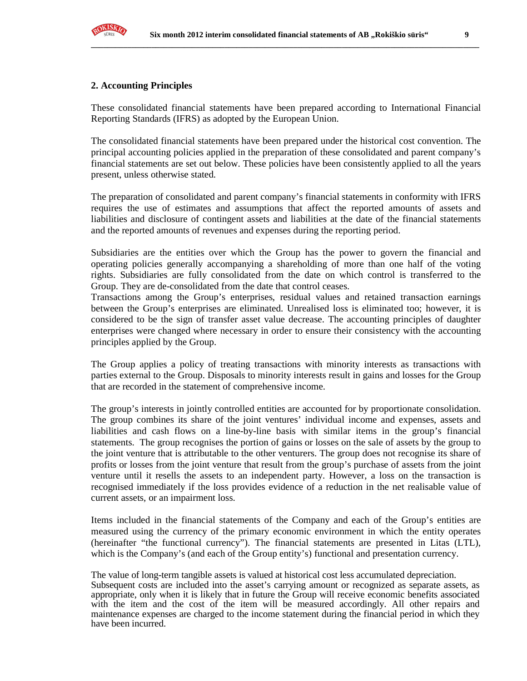

### **2. Accounting Principles**

These consolidated financial statements have been prepared according to International Financial Reporting Standards (IFRS) as adopted by the European Union.

The consolidated financial statements have been prepared under the historical cost convention. The principal accounting policies applied in the preparation of these consolidated and parent company's financial statements are set out below. These policies have been consistently applied to all the years present, unless otherwise stated.

The preparation of consolidated and parent company's financial statements in conformity with IFRS requires the use of estimates and assumptions that affect the reported amounts of assets and liabilities and disclosure of contingent assets and liabilities at the date of the financial statements and the reported amounts of revenues and expenses during the reporting period.

Subsidiaries are the entities over which the Group has the power to govern the financial and operating policies generally accompanying a shareholding of more than one half of the voting rights. Subsidiaries are fully consolidated from the date on which control is transferred to the Group. They are de-consolidated from the date that control ceases.

Transactions among the Group's enterprises, residual values and retained transaction earnings between the Group's enterprises are eliminated. Unrealised loss is eliminated too; however, it is considered to be the sign of transfer asset value decrease. The accounting principles of daughter enterprises were changed where necessary in order to ensure their consistency with the accounting principles applied by the Group.

The Group applies a policy of treating transactions with minority interests as transactions with parties external to the Group. Disposals to minority interests result in gains and losses for the Group that are recorded in the statement of comprehensive income.

The group's interests in jointly controlled entities are accounted for by proportionate consolidation. The group combines its share of the joint ventures' individual income and expenses, assets and liabilities and cash flows on a line-by-line basis with similar items in the group's financial statements. The group recognises the portion of gains or losses on the sale of assets by the group to the joint venture that is attributable to the other venturers. The group does not recognise its share of profits or losses from the joint venture that result from the group's purchase of assets from the joint venture until it resells the assets to an independent party. However, a loss on the transaction is recognised immediately if the loss provides evidence of a reduction in the net realisable value of current assets, or an impairment loss.

Items included in the financial statements of the Company and each of the Group's entities are measured using the currency of the primary economic environment in which the entity operates (hereinafter "the functional currency"). The financial statements are presented in Litas (LTL), which is the Company's (and each of the Group entity's) functional and presentation currency.

The value of long-term tangible assets is valued at historical cost less accumulated depreciation. Subsequent costs are included into the asset's carrying amount or recognized as separate assets, as appropriate, only when it is likely that in future the Group will receive economic benefits associated with the item and the cost of the item will be measured accordingly. All other repairs and maintenance expenses are charged to the income statement during the financial period in which they have been incurred.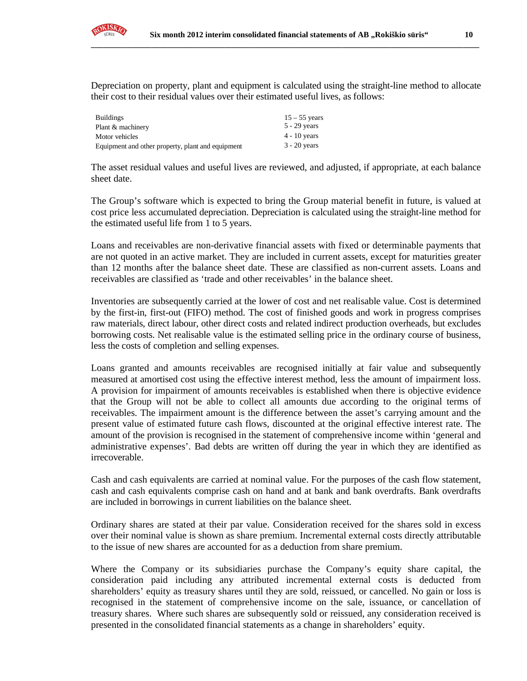

Depreciation on property, plant and equipment is calculated using the straight-line method to allocate their cost to their residual values over their estimated useful lives, as follows:

| <b>Buildings</b>                                  | $15 - 55$ years |
|---------------------------------------------------|-----------------|
| Plant & machinery                                 | $5 - 29$ years  |
| Motor vehicles                                    | $4 - 10$ years  |
| Equipment and other property, plant and equipment | $3 - 20$ years  |

The asset residual values and useful lives are reviewed, and adjusted, if appropriate, at each balance sheet date.

The Group's software which is expected to bring the Group material benefit in future, is valued at cost price less accumulated depreciation. Depreciation is calculated using the straight-line method for the estimated useful life from 1 to 5 years.

Loans and receivables are non-derivative financial assets with fixed or determinable payments that are not quoted in an active market. They are included in current assets, except for maturities greater than 12 months after the balance sheet date. These are classified as non-current assets. Loans and receivables are classified as 'trade and other receivables' in the balance sheet.

Inventories are subsequently carried at the lower of cost and net realisable value. Cost is determined by the first-in, first-out (FIFO) method. The cost of finished goods and work in progress comprises raw materials, direct labour, other direct costs and related indirect production overheads, but excludes borrowing costs. Net realisable value is the estimated selling price in the ordinary course of business, less the costs of completion and selling expenses.

Loans granted and amounts receivables are recognised initially at fair value and subsequently measured at amortised cost using the effective interest method, less the amount of impairment loss. A provision for impairment of amounts receivables is established when there is objective evidence that the Group will not be able to collect all amounts due according to the original terms of receivables. The impairment amount is the difference between the asset's carrying amount and the present value of estimated future cash flows, discounted at the original effective interest rate. The amount of the provision is recognised in the statement of comprehensive income within 'general and administrative expenses'. Bad debts are written off during the year in which they are identified as irrecoverable.

Cash and cash equivalents are carried at nominal value. For the purposes of the cash flow statement, cash and cash equivalents comprise cash on hand and at bank and bank overdrafts. Bank overdrafts are included in borrowings in current liabilities on the balance sheet.

Ordinary shares are stated at their par value. Consideration received for the shares sold in excess over their nominal value is shown as share premium. Incremental external costs directly attributable to the issue of new shares are accounted for as a deduction from share premium.

Where the Company or its subsidiaries purchase the Company's equity share capital, the consideration paid including any attributed incremental external costs is deducted from shareholders' equity as treasury shares until they are sold, reissued, or cancelled. No gain or loss is recognised in the statement of comprehensive income on the sale, issuance, or cancellation of treasury shares. Where such shares are subsequently sold or reissued, any consideration received is presented in the consolidated financial statements as a change in shareholders' equity.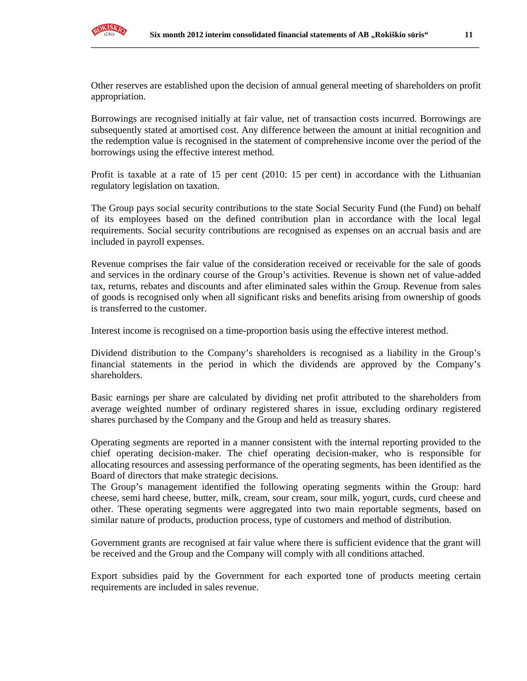

Other reserves are established upon the decision of annual general meeting of shareholders on profit appropriation.

Borrowings are recognised initially at fair value, net of transaction costs incurred. Borrowings are subsequently stated at amortised cost. Any difference between the amount at initial recognition and the redemption value is recognised in the statement of comprehensive income over the period of the borrowings using the effective interest method.

Profit is taxable at a rate of 15 per cent (2010: 15 per cent) in accordance with the Lithuanian regulatory legislation on taxation.

The Group pays social security contributions to the state Social Security Fund (the Fund) on behalf of its employees based on the defined contribution plan in accordance with the local legal requirements. Social security contributions are recognised as expenses on an accrual basis and are included in payroll expenses.

Revenue comprises the fair value of the consideration received or receivable for the sale of goods and services in the ordinary course of the Group's activities. Revenue is shown net of value-added tax, returns, rebates and discounts and after eliminated sales within the Group. Revenue from sales of goods is recognised only when all significant risks and benefits arising from ownership of goods is transferred to the customer.

Interest income is recognised on a time-proportion basis using the effective interest method.

Dividend distribution to the Company's shareholders is recognised as a liability in the Group's financial statements in the period in which the dividends are approved by the Company's shareholders.

Basic earnings per share are calculated by dividing net profit attributed to the shareholders from average weighted number of ordinary registered shares in issue, excluding ordinary registered shares purchased by the Company and the Group and held as treasury shares.

Operating segments are reported in a manner consistent with the internal reporting provided to the chief operating decision-maker. The chief operating decision-maker, who is responsible for allocating resources and assessing performance of the operating segments, has been identified as the Board of directors that make strategic decisions.

The Group's management identified the following operating segments within the Group: hard cheese, semi hard cheese, butter, milk, cream, sour cream, sour milk, yogurt, curds, curd cheese and other. These operating segments were aggregated into two main reportable segments, based on similar nature of products, production process, type of customers and method of distribution.

Government grants are recognised at fair value where there is sufficient evidence that the grant will be received and the Group and the Company will comply with all conditions attached.

Export subsidies paid by the Government for each exported tone of products meeting certain requirements are included in sales revenue.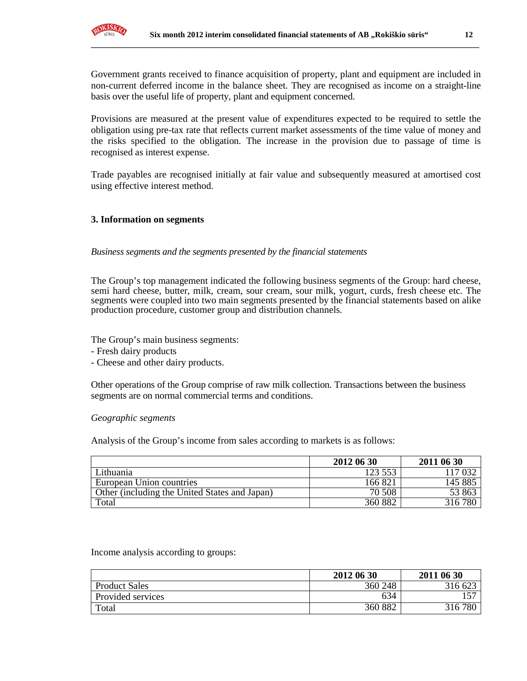

**\_\_\_\_\_\_\_\_\_\_\_\_\_\_\_\_\_\_\_\_\_\_\_\_\_\_\_\_\_\_\_\_\_\_\_\_\_\_\_\_\_\_\_\_\_\_\_\_\_\_\_\_\_\_\_\_\_\_\_\_\_\_\_\_\_\_\_\_\_\_\_\_\_\_\_\_\_\_\_\_\_\_\_\_\_\_\_\_\_\_\_\_\_\_\_\_**

Government grants received to finance acquisition of property, plant and equipment are included in non-current deferred income in the balance sheet. They are recognised as income on a straight-line basis over the useful life of property, plant and equipment concerned.

Provisions are measured at the present value of expenditures expected to be required to settle the obligation using pre-tax rate that reflects current market assessments of the time value of money and the risks specified to the obligation. The increase in the provision due to passage of time is recognised as interest expense.

Trade payables are recognised initially at fair value and subsequently measured at amortised cost using effective interest method.

#### **3. Information on segments**

#### *Business segments and the segments presented by the financial statements*

The Group's top management indicated the following business segments of the Group: hard cheese, semi hard cheese, butter, milk, cream, sour cream, sour milk, yogurt, curds, fresh cheese etc. The segments were coupled into two main segments presented by the financial statements based on alike production procedure, customer group and distribution channels.

The Group's main business segments:

- Fresh dairy products
- Cheese and other dairy products.

Other operations of the Group comprise of raw milk collection. Transactions between the business segments are on normal commercial terms and conditions.

#### *Geographic segments*

Analysis of the Group's income from sales according to markets is as follows:

|                                               | 2012 06 30 | 2011 06 30 |
|-----------------------------------------------|------------|------------|
| Lithuania                                     | 123 553    | 17 032     |
| European Union countries                      | 166 821    | 145 885    |
| Other (including the United States and Japan) | 70 508     | 53 863     |
| Total                                         | 360 882    | 316780     |

#### Income analysis according to groups:

|                      | 2012 06 30 | 2011 06 30 |
|----------------------|------------|------------|
| <b>Product Sales</b> | 360 248    | 316 623    |
| Provided services    | 634        |            |
| Total                | 360 882    | 316780     |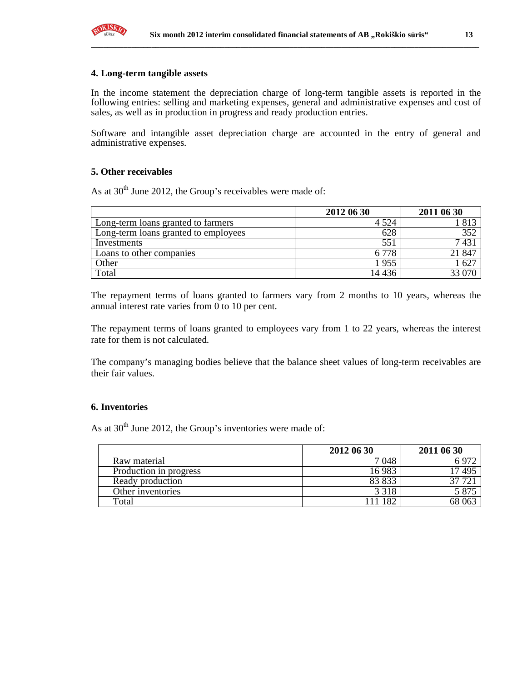

#### **4. Long-term tangible assets**

In the income statement the depreciation charge of long-term tangible assets is reported in the following entries: selling and marketing expenses, general and administrative expenses and cost of sales, as well as in production in progress and ready production entries.

Software and intangible asset depreciation charge are accounted in the entry of general and administrative expenses.

#### **5. Other receivables**

As at  $30<sup>th</sup>$  June 2012, the Group's receivables were made of:

|                                      | 2012 06 30 | 2011 06 30      |
|--------------------------------------|------------|-----------------|
| Long-term loans granted to farmers   | 4 5 2 4    | 813             |
| Long-term loans granted to employees | 628        | 352             |
| Investments                          | 551        | 7431            |
| Loans to other companies             | 6 778      | 21 847          |
| Other                                | . 955      | $\overline{62}$ |
| Total                                | 14 4 36    | 33 070          |

The repayment terms of loans granted to farmers vary from 2 months to 10 years, whereas the annual interest rate varies from 0 to 10 per cent.

The repayment terms of loans granted to employees vary from 1 to 22 years, whereas the interest rate for them is not calculated.

The company's managing bodies believe that the balance sheet values of long-term receivables are their fair values.

#### **6. Inventories**

As at  $30<sup>th</sup>$  June 2012, the Group's inventories were made of:

|                        | 2012 06 30 | 2011 06 30 |
|------------------------|------------|------------|
| Raw material           | 7048       |            |
| Production in progress | 16983      | 495        |
| Ready production       | 83 833     |            |
| Other inventories      | 3 3 1 8    | 5.87       |
| Total                  | 182        | 68 06?     |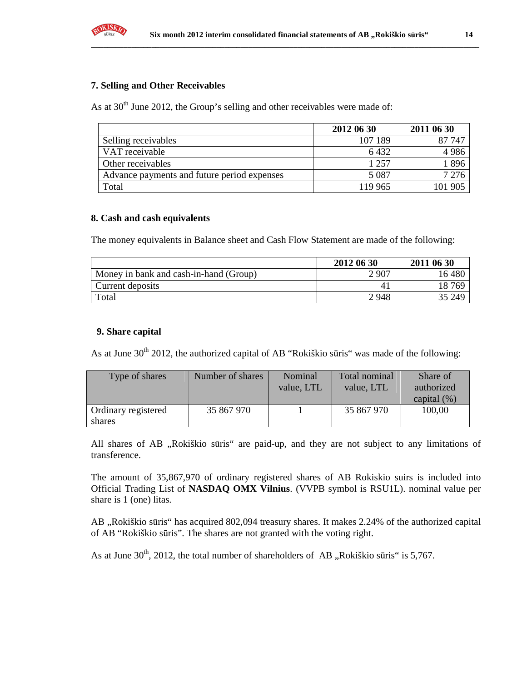

### **7. Selling and Other Receivables**

As at  $30<sup>th</sup>$  June 2012, the Group's selling and other receivables were made of:

|                                             | 2012 06 30 | 2011 06 30 |
|---------------------------------------------|------------|------------|
| Selling receivables                         | 107 189    | 87 747     |
| VAT receivable                              | 6432       | 4986       |
| Other receivables                           | 1 257      | 1896       |
| Advance payments and future period expenses | 5 0 8 7    | 7 2 7 6    |
| Total                                       | 119 965    | 101 905    |

### **8. Cash and cash equivalents**

The money equivalents in Balance sheet and Cash Flow Statement are made of the following:

|                                        | 2012 06 30 | 2011 06 30 |
|----------------------------------------|------------|------------|
| Money in bank and cash-in-hand (Group) | 2 9 0 7    | 16480      |
| Current deposits                       |            | 18 769     |
| Total                                  | 2948       | 35 249     |

## **9. Share capital**

As at June 30<sup>th</sup> 2012, the authorized capital of AB "Rokiškio sūris" was made of the following:

| Type of shares                | Number of shares | Nominal<br>value, LTL | Total nominal<br>value, LTL | Share of<br>authorized<br>capital $(\% )$ |
|-------------------------------|------------------|-----------------------|-----------------------------|-------------------------------------------|
| Ordinary registered<br>shares | 35 867 970       |                       | 35 867 970                  | 100,00                                    |

All shares of AB "Rokiškio sūris" are paid-up, and they are not subject to any limitations of transference.

The amount of 35,867,970 of ordinary registered shares of AB Rokiskio suirs is included into Official Trading List of **NASDAQ OMX Vilnius**. (VVPB symbol is RSU1L). nominal value per share is 1 (one) litas.

AB "Rokiškio sūris" has acquired 802,094 treasury shares. It makes 2.24% of the authorized capital of AB "Rokiškio sūris". The shares are not granted with the voting right.

As at June  $30<sup>th</sup>$ , 2012, the total number of shareholders of AB "Rokiškio sūris" is 5,767.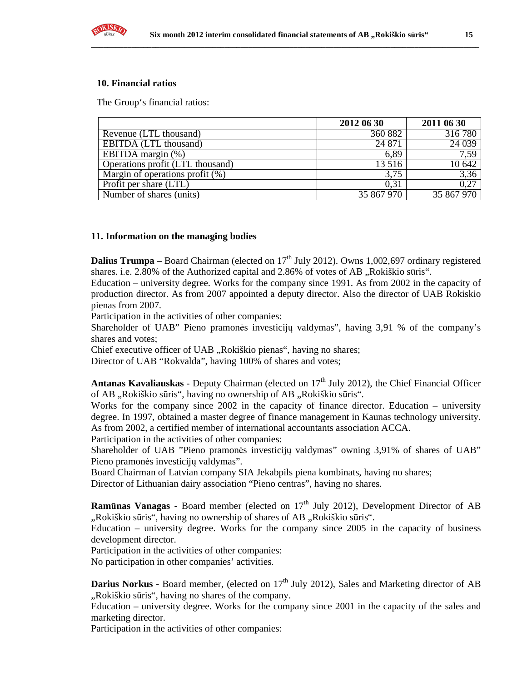

#### **10. Financial ratios**

The Group's financial ratios:

|                                    | 2012 06 30 | 2011 06 30 |
|------------------------------------|------------|------------|
| Revenue (LTL thousand)             | 360 882    | 316 780    |
| EBITDA (LTL thousand)              | 24 871     | 24 039     |
| EBITDA margin $(\%)$               | 6,89       | 7,59       |
| Operations profit (LTL thousand)   | 13 5 16    | 10 642     |
| Margin of operations profit $(\%)$ | 3.75       | 3,36       |
| Profit per share (LTL)             | 0.31       | 0,27       |
| Number of shares (units)           | 35 867 970 | 35 867 970 |

#### **11. Information on the managing bodies**

**Dalius Trumpa** – Board Chairman (elected on  $17<sup>th</sup>$  July 2012). Owns 1,002,697 ordinary registered shares. i.e.  $2.80\%$  of the Authorized capital and  $2.86\%$  of votes of AB . Rokiškio sūris".

Education – university degree. Works for the company since 1991. As from 2002 in the capacity of production director. As from 2007 appointed a deputy director. Also the director of UAB Rokiskio pienas from 2007.

Participation in the activities of other companies:

Shareholder of UAB" Pieno pramonės investicijų valdymas", having 3,91 % of the company's shares and votes;

Chief executive officer of UAB "Rokiškio pienas", having no shares;

Director of UAB "Rokvalda", having 100% of shares and votes;

**Antanas Kavaliauskas** - Deputy Chairman (elected on  $17<sup>th</sup>$  July 2012), the Chief Financial Officer of AB "Rokiškio sūris", having no ownership of AB "Rokiškio sūris".

Works for the company since 2002 in the capacity of finance director. Education – university degree. In 1997, obtained a master degree of finance management in Kaunas technology university. As from 2002, a certified member of international accountants association ACCA.

Participation in the activities of other companies:

Shareholder of UAB "Pieno pramonės investicijų valdymas" owning 3,91% of shares of UAB" Pieno pramonės investicijų valdymas".

Board Chairman of Latvian company SIA Jekabpils piena kombinats, having no shares;

Director of Lithuanian dairy association "Pieno centras", having no shares.

**Ramūnas Vanagas -** Board member (elected on 17<sup>th</sup> July 2012), Development Director of AB ",Rokiškio sūris", having no ownership of shares of AB "Rokiškio sūris".

Education – university degree. Works for the company since 2005 in the capacity of business development director.

Participation in the activities of other companies:

No participation in other companies' activities.

**Darius Norkus - Board member, (elected on 17<sup>th</sup> July 2012), Sales and Marketing director of AB** "Rokiškio sūris", having no shares of the company.

Education – university degree. Works for the company since 2001 in the capacity of the sales and marketing director.

Participation in the activities of other companies: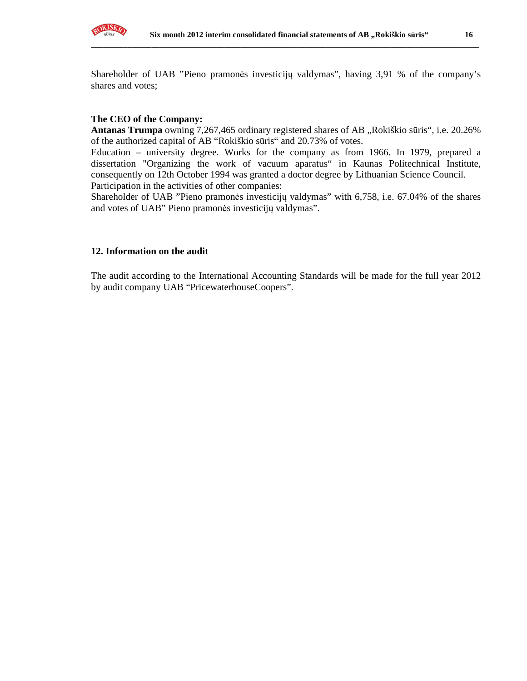

Shareholder of UAB "Pieno pramonės investicijų valdymas", having 3,91 % of the company's shares and votes;

#### **The CEO of the Company:**

Antanas Trumpa owning 7,267,465 ordinary registered shares of AB "Rokiškio sūris", i.e. 20.26% of the authorized capital of AB "Rokiškio sūris" and 20.73% of votes.

Education – university degree. Works for the company as from 1966. In 1979, prepared a dissertation "Organizing the work of vacuum aparatus" in Kaunas Politechnical Institute, consequently on 12th October 1994 was granted a doctor degree by Lithuanian Science Council. Participation in the activities of other companies:

Shareholder of UAB "Pieno pramonės investicijų valdymas" with 6,758, i.e. 67.04% of the shares and votes of UAB" Pieno pramonės investicijų valdymas".

#### **12. Information on the audit**

The audit according to the International Accounting Standards will be made for the full year 2012 by audit company UAB "PricewaterhouseCoopers".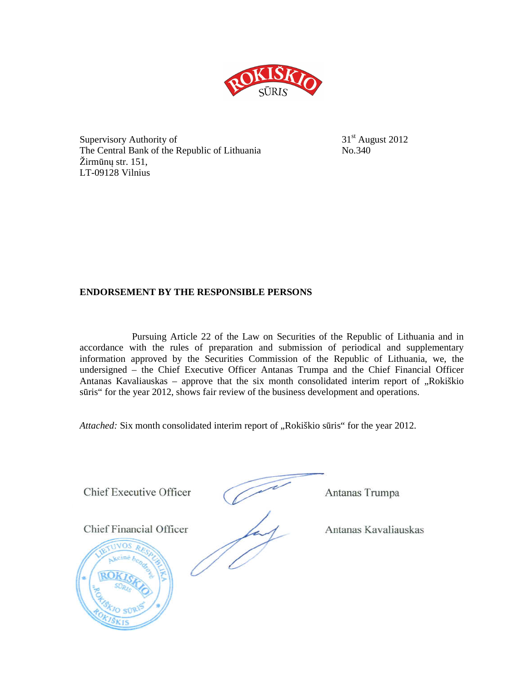

Supervisory Authority of  $31<sup>st</sup>$  August 2012 The Central Bank of the Republic of Lithuania No.340 Žirmūnų str. 151, LT-09128 Vilnius

## **ENDORSEMENT BY THE RESPONSIBLE PERSONS**

Pursuing Article 22 of the Law on Securities of the Republic of Lithuania and in accordance with the rules of preparation and submission of periodical and supplementary information approved by the Securities Commission of the Republic of Lithuania, we, the undersigned – the Chief Executive Officer Antanas Trumpa and the Chief Financial Officer Antanas Kavaliauskas – approve that the six month consolidated interim report of  $\alpha$ Rokiškio sūris" for the year 2012, shows fair review of the business development and operations.

*Attached:* Six month consolidated interim report of "Rokiškio sūris" for the year 2012.

**Chief Executive Officer** 

Chief Executive Officer Antanas Trumpa

Antanas Trumpa

**Chief Financial Officer** 

 $\widetilde{\phantom{a}}$ 

Antanas Kavaliauskas

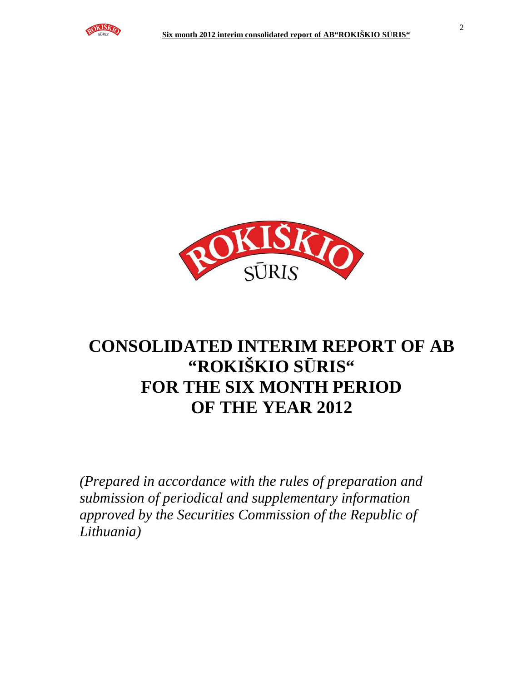



# **CONSOLIDATED INTERIM REPORT OF AB "ROKIŠKIO S**Ū**RIS" FOR THE SIX MONTH PERIOD OF THE YEAR 2012**

*(Prepared in accordance with the rules of preparation and submission of periodical and supplementary information approved by the Securities Commission of the Republic of Lithuania)*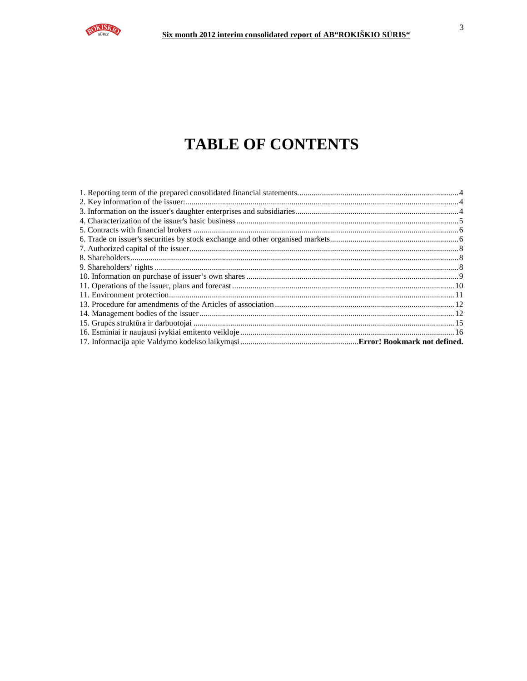

# **TABLE OF CONTENTS**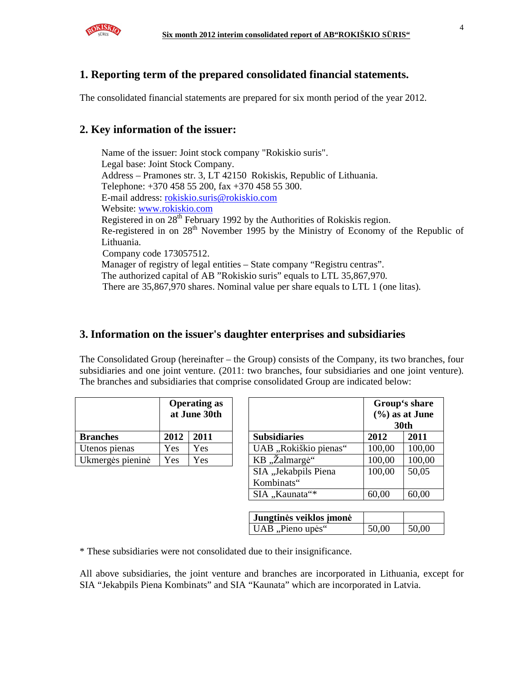

# **1. Reporting term of the prepared consolidated financial statements.**

The consolidated financial statements are prepared for six month period of the year 2012.

# **2. Key information of the issuer:**

Name of the issuer: Joint stock company "Rokiskio suris". Legal base: Joint Stock Company. Address – Pramones str. 3, LT 42150 Rokiskis, Republic of Lithuania. Telephone: +370 458 55 200, fax +370 458 55 300. E-mail address: rokiskio.suris@rokiskio.com Website: www.rokiskio.com Registered in on  $28<sup>th</sup>$  February 1992 by the Authorities of Rokiskis region. Re-registered in on 28<sup>th</sup> November 1995 by the Ministry of Economy of the Republic of Lithuania. Company code 173057512. Manager of registry of legal entities – State company "Registru centras". The authorized capital of AB "Rokiskio suris" equals to LTL 35,867,970. There are 35,867,970 shares. Nominal value per share equals to LTL 1 (one litas).

# **3. Information on the issuer's daughter enterprises and subsidiaries**

The Consolidated Group (hereinafter – the Group) consists of the Company, its two branches, four subsidiaries and one joint venture. (2011: two branches, four subsidiaries and one joint venture). The branches and subsidiaries that comprise consolidated Group are indicated below:

|                  | <b>Operating as</b><br>at June 30th |      |  |
|------------------|-------------------------------------|------|--|
| <b>Branches</b>  | 2012                                | 2011 |  |
| Utenos pienas    | Yes                                 | Yes  |  |
| Ukmergės pieninė | Yes                                 | Yes  |  |

|                  |      | <b>Operating as</b><br>at June 30th |  |                       |        | Group's share<br>$(\frac{6}{6})$ as at June<br><b>30th</b> |
|------------------|------|-------------------------------------|--|-----------------------|--------|------------------------------------------------------------|
| <b>Branches</b>  | 2012 | 2011                                |  | <b>Subsidiaries</b>   | 2012   | 2011                                                       |
| Utenos pienas    | Yes  | Yes                                 |  | UAB "Rokiškio pienas" | 100,00 | 100,00                                                     |
| Ukmergės pieninė | Yes  | Yes                                 |  | KB "Žalmargė"         | 100,00 | 100,00                                                     |
|                  |      |                                     |  | SIA "Jekabpils Piena  | 100,00 | 50,05                                                      |
|                  |      |                                     |  | Kombinats"            |        |                                                            |
|                  |      |                                     |  | SIA "Kaunata"*        | 60,00  | 60,00                                                      |

| Jungtinės veiklos įmonė |       |       |
|-------------------------|-------|-------|
| UAB "Pieno upės"        | 50,00 | 50,00 |

\* These subsidiaries were not consolidated due to their insignificance.

All above subsidiaries, the joint venture and branches are incorporated in Lithuania, except for SIA "Jekabpils Piena Kombinats" and SIA "Kaunata" which are incorporated in Latvia.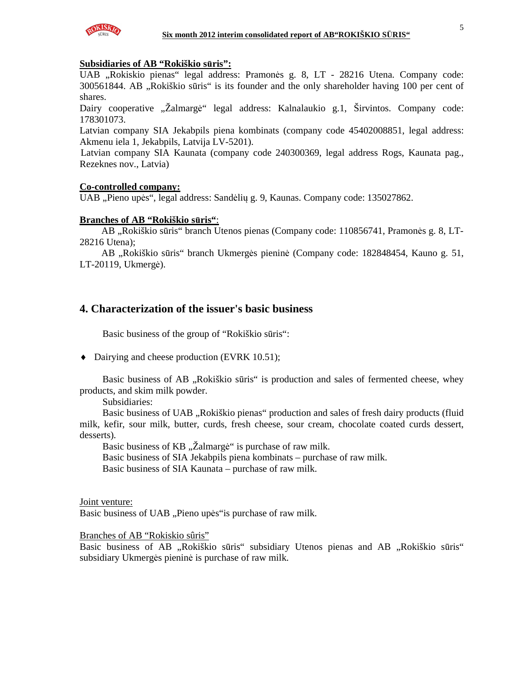

## **Subsidiaries of AB "Rokiškio s**ū**ris":**

UAB "Rokiskio pienas" legal address: Pramonės g. 8, LT - 28216 Utena. Company code: 300561844. AB "Rokiškio sūris" is its founder and the only shareholder having 100 per cent of shares.

Dairy cooperative "Žalmargė" legal address: Kalnalaukio g.1, Širvintos. Company code: 178301073.

Latvian company SIA Jekabpils piena kombinats (company code 45402008851, legal address: Akmenu iela 1, Jekabpils, Latvija LV-5201).

Latvian company SIA Kaunata (company code 240300369, legal address Rogs, Kaunata pag., Rezeknes nov., Latvia)

### **Co-controlled company:**

UAB "Pieno upės", legal address: Sandėlių g. 9, Kaunas. Company code: 135027862.

### **Branches of AB "Rokiškio s**ū**ris"**:

AB "Rokiškio sūris" branch Utenos pienas (Company code: 110856741, Pramonės g. 8, LT-28216 Utena);

AB "Rokiškio sūris" branch Ukmergės pieninė (Company code: 182848454, Kauno g. 51, LT-20119, Ukmergė).

## **4. Characterization of the issuer's basic business**

Basic business of the group of "Rokiškio sūris":

♦ Dairying and cheese production (EVRK 10.51);

Basic business of AB "Rokiškio sūris" is production and sales of fermented cheese, whey products, and skim milk powder.

Subsidiaries:

Basic business of UAB "Rokiškio pienas" production and sales of fresh dairy products (fluid milk, kefir, sour milk, butter, curds, fresh cheese, sour cream, chocolate coated curds dessert, desserts).

Basic business of KB "Žalmargė" is purchase of raw milk.

Basic business of SIA Jekabpils piena kombinats – purchase of raw milk.

Basic business of SIA Kaunata – purchase of raw milk.

Joint venture:

Basic business of UAB "Pieno upės" is purchase of raw milk.

Branches of AB "Rokiskio sûris"

Basic business of AB "Rokiškio sūris" subsidiary Utenos pienas and AB "Rokiškio sūris" subsidiary Ukmergės pieninė is purchase of raw milk.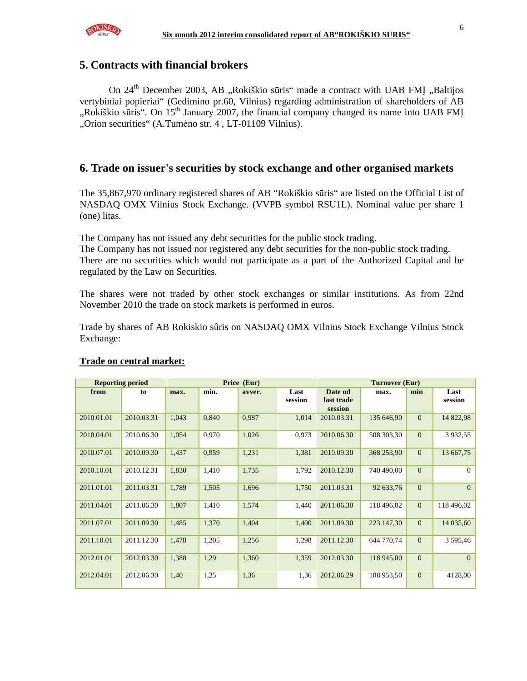

## **5. Contracts with financial brokers**

On 24<sup>th</sup> December 2003, AB "Rokiškio sūris" made a contract with UAB FMI "Baltijos vertybiniai popieriai" (Gedimino pr.60, Vilnius) regarding administration of shareholders of AB ", Rokiškio sūris". On  $15<sup>th</sup>$  January 2007, the financial company changed its name into UAB FMI "Orion securities" (A.Tumėno str. 4, LT-01109 Vilnius).

## **6. Trade on issuer's securities by stock exchange and other organised markets**

The 35,867,970 ordinary registered shares of AB "Rokiškio sūris" are listed on the Official List of NASDAQ OMX Vilnius Stock Exchange. (VVPB symbol RSU1L). Nominal value per share 1 (one) litas.

The Company has not issued any debt securities for the public stock trading.

The Company has not issued nor registered any debt securities for the non-public stock trading. There are no securities which would not participate as a part of the Authorized Capital and be regulated by the Law on Securities.

The shares were not traded by other stock exchanges or similar institutions. As from 22nd November 2010 the trade on stock markets is performed in euros.

Trade by shares of AB Rokiskio sûris on NASDAQ OMX Vilnius Stock Exchange Vilnius Stock Exchange:

| <b>Reporting period</b> |            |       |       | Price (Eur) |                 | Turnover (Eur)                   |            |              |                 |
|-------------------------|------------|-------|-------|-------------|-----------------|----------------------------------|------------|--------------|-----------------|
| from                    | to         | max.  | min.  | avver.      | Last<br>session | Date od<br>last trade<br>session | max.       | min          | Last<br>session |
| 2010.01.01              | 2010.03.31 | 1,043 | 0,840 | 0,987       | 1,014           | 2010.03.31                       | 135 646,90 | $\Omega$     | 14 822,98       |
| 2010.04.01              | 2010.06.30 | 1,054 | 0,970 | 1,026       | 0,973           | 2010.06.30                       | 508 303,30 | $\Omega$     | 3 9 3 2, 5 5    |
| 2010.07.01              | 2010.09.30 | 1,437 | 0,959 | 1,231       | 1,381           | 2010.09.30                       | 368 253,90 | $\mathbf{0}$ | 13 667,75       |
| 2010.10.01              | 2010.12.31 | 1,830 | 1,410 | 1,735       | 1,792           | 2010.12.30                       | 740 490,00 | $\Omega$     | $\Omega$        |
| 2011.01.01              | 2011.03.31 | 1,789 | 1,505 | 1,696       | 1,750           | 2011.03.31                       | 92 633,76  | $\Omega$     | $\mathbf{0}$    |
| 2011.04.01              | 2011.06.30 | 1,807 | 1,410 | 1,574       | 1,440           | 2011.06.30                       | 118 496,02 | $\Omega$     | 118 496,02      |
| 2011.07.01              | 2011.09.30 | 1,485 | 1,370 | 1,404       | 1,400           | 2011.09.30                       | 223.147,30 | $\Omega$     | 14 035,60       |
| 2011.10.01              | 2011.12.30 | 1,478 | 1,205 | 1,256       | 1,298           | 2011.12.30                       | 644 770.74 | $\Omega$     | 3 595,46        |
| 2012.01.01              | 2012.03.30 | 1,388 | 1,29  | 1,360       | 1,359           | 2012.03.30                       | 118 945,00 | $\mathbf{0}$ | $\mathbf{0}$    |
| 2012.04.01              | 2012.06.30 | 1,40  | 1,25  | 1,36        | 1,36            | 2012.06.29                       | 108 953,50 | $\Omega$     | 4128,00         |

### **Trade on central market:**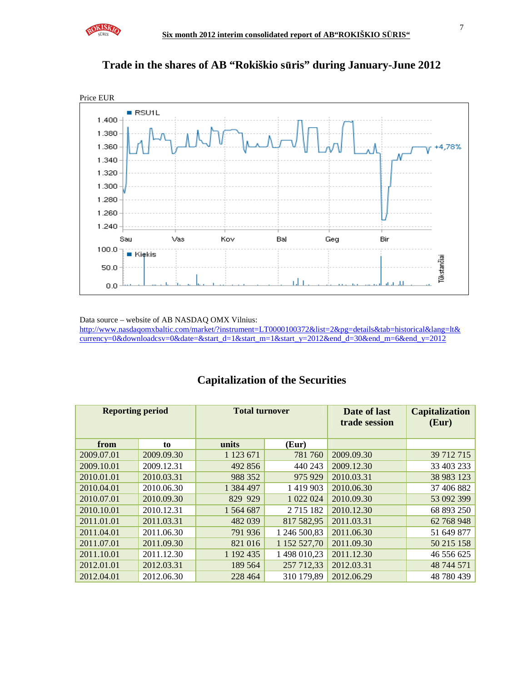





Data source – website of AB NASDAQ OMX Vilnius:

http://www.nasdaqomxbaltic.com/market/?instrument=LT0000100372&list=2&pg=details&tab=historical&lang=lt& currency=0&downloadcsv=0&date=&start\_d=1&start\_m=1&start\_y=2012&end\_d=30&end\_m=6&end\_y=2012

## **Reporting period Total turnover Date of last trade session Capitalization (Eur)**  from to units (Eur) 2009.07.01 2009.09.30 1 123 671 781 760 2009.09.30 39 712 715 2009.10.01 2009.12.31 492 856 440 243 2009.12.30 33 403 233 2010.01.01 2010.03.31 988 352 975 929 2010.03.31 38 983 123 2010.04.01 2010.06.30 1 384 497 1 419 903 2010.06.30 37 406 882 2010.07.01 2010.09.30 829 929 1 022 024 2010.09.30 53 092 399 2010.10.01 2010.12.31 1 564 687 2 715 182 2010.12.30 68 893 250 2011.01.01 2011.03.31 482 039 817 582,95 2011.03.31 62 768 948 2011.04.01 2011.06.30 791 936 1 246 500,83 2011.06.30 51 649 877 2011.07.01 2011.09.30 821 016 1 152 527,70 2011.09.30 50 215 158 2011.10.01 2011.12.30 1 192 435 1 498 010,23 2011.12.30 46 556 625 2012.01.01 | 2012.03.31 | 189 564 | 257 712.33 | 2012.03.31 | 48 744 571 2012.04.01 2012.06.30 228 464 310 179,89 2012.06.29 48 780 439

# **Capitalization of the Securities**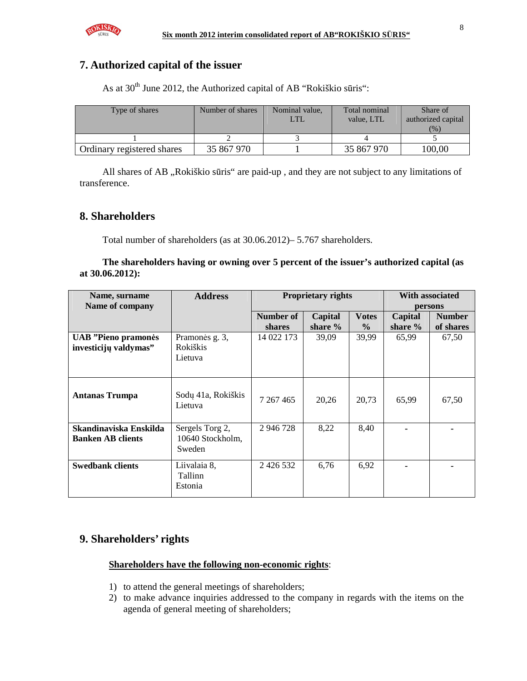

# **7. Authorized capital of the issuer**

As at  $30<sup>th</sup>$  June 2012, the Authorized capital of AB "Rokiškio sūris":

| Type of shares             | Number of shares | Nominal value, | Total nominal<br>value. LTL | Share of<br>authorized capital<br>(%) |
|----------------------------|------------------|----------------|-----------------------------|---------------------------------------|
|                            |                  |                |                             |                                       |
| Ordinary registered shares | 35 867 970       |                | 35 867 970                  | 100.00                                |

All shares of AB "Rokiškio sūris" are paid-up, and they are not subject to any limitations of transference.

## **8. Shareholders**

Total number of shareholders (as at 30.06.2012)– 5.767 shareholders.

**The shareholders having or owning over 5 percent of the issuer's authorized capital (as at 30.06.2012):** 

| Name, surname<br>Name of company                    | <b>Address</b>                                | With associated<br><b>Proprietary rights</b><br>persons |                    |                               |                      |                            |
|-----------------------------------------------------|-----------------------------------------------|---------------------------------------------------------|--------------------|-------------------------------|----------------------|----------------------------|
|                                                     |                                               | Number of<br>shares                                     | Capital<br>share % | <b>Votes</b><br>$\frac{6}{9}$ | Capital<br>share $%$ | <b>Number</b><br>of shares |
| <b>UAB</b> "Pieno pramonės<br>investicijų valdymas" | Pramonės g. 3,<br><b>Rokiškis</b><br>Lietuva  | 14 022 173                                              | 39,09              | 39,99                         | 65,99                | 67,50                      |
| <b>Antanas Trumpa</b>                               | Sodų 41a, Rokiškis<br>Lietuva                 | 7 267 465                                               | 20,26              | 20,73                         | 65,99                | 67,50                      |
| Skandinaviska Enskilda<br><b>Banken AB clients</b>  | Sergels Torg 2,<br>10640 Stockholm,<br>Sweden | 2 946 728                                               | 8,22               | 8,40                          |                      |                            |
| <b>Swedbank clients</b>                             | Liivalaia 8,<br>Tallinn<br>Estonia            | 2 4 2 6 5 3 2                                           | 6,76               | 6,92                          |                      |                            |

# **9. Shareholders' rights**

## **Shareholders have the following non-economic rights**:

- 1) to attend the general meetings of shareholders;
- 2) to make advance inquiries addressed to the company in regards with the items on the agenda of general meeting of shareholders;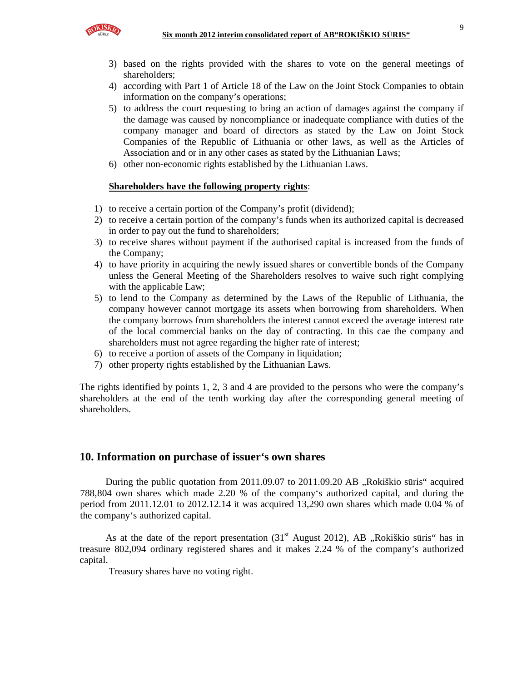

- 3) based on the rights provided with the shares to vote on the general meetings of shareholders;
- 4) according with Part 1 of Article 18 of the Law on the Joint Stock Companies to obtain information on the company's operations;
- 5) to address the court requesting to bring an action of damages against the company if the damage was caused by noncompliance or inadequate compliance with duties of the company manager and board of directors as stated by the Law on Joint Stock Companies of the Republic of Lithuania or other laws, as well as the Articles of Association and or in any other cases as stated by the Lithuanian Laws;
- 6) other non-economic rights established by the Lithuanian Laws.

## **Shareholders have the following property rights**:

- 1) to receive a certain portion of the Company's profit (dividend);
- 2) to receive a certain portion of the company's funds when its authorized capital is decreased in order to pay out the fund to shareholders;
- 3) to receive shares without payment if the authorised capital is increased from the funds of the Company;
- 4) to have priority in acquiring the newly issued shares or convertible bonds of the Company unless the General Meeting of the Shareholders resolves to waive such right complying with the applicable Law;
- 5) to lend to the Company as determined by the Laws of the Republic of Lithuania, the company however cannot mortgage its assets when borrowing from shareholders. When the company borrows from shareholders the interest cannot exceed the average interest rate of the local commercial banks on the day of contracting. In this cae the company and shareholders must not agree regarding the higher rate of interest;
- 6) to receive a portion of assets of the Company in liquidation;
- 7) other property rights established by the Lithuanian Laws.

The rights identified by points 1, 2, 3 and 4 are provided to the persons who were the company's shareholders at the end of the tenth working day after the corresponding general meeting of shareholders.

## **10. Information on purchase of issuer's own shares**

During the public quotation from 2011.09.07 to 2011.09.20 AB "Rokiškio sūris" acquired 788,804 own shares which made 2.20 % of the company's authorized capital, and during the period from 2011.12.01 to 2012.12.14 it was acquired 13,290 own shares which made 0.04 % of the company's authorized capital.

As at the date of the report presentation  $(31<sup>st</sup>$  August 2012), AB "Rokiškio sūris" has in treasure 802,094 ordinary registered shares and it makes 2.24 % of the company's authorized capital.

Treasury shares have no voting right.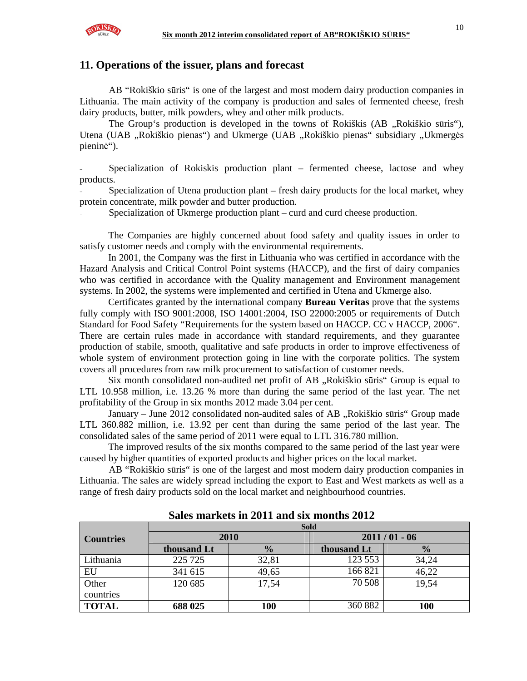

## **11. Operations of the issuer, plans and forecast**

AB "Rokiškio sūris" is one of the largest and most modern dairy production companies in Lithuania. The main activity of the company is production and sales of fermented cheese, fresh dairy products, butter, milk powders, whey and other milk products.

The Group's production is developed in the towns of Rokiškis (AB , Rokiškio sūris"), Utena (UAB "Rokiškio pienas") and Ukmerge (UAB "Rokiškio pienas" subsidiary "Ukmergės pieninė").

Specialization of Rokiskis production plant – fermented cheese, lactose and whey products.

Specialization of Utena production plant – fresh dairy products for the local market, whey protein concentrate, milk powder and butter production.

Specialization of Ukmerge production plant – curd and curd cheese production.

The Companies are highly concerned about food safety and quality issues in order to satisfy customer needs and comply with the environmental requirements.

In 2001, the Company was the first in Lithuania who was certified in accordance with the Hazard Analysis and Critical Control Point systems (HACCP), and the first of dairy companies who was certified in accordance with the Quality management and Environment management systems. In 2002, the systems were implemented and certified in Utena and Ukmerge also.

Certificates granted by the international company **Bureau Veritas** prove that the systems fully comply with ISO 9001:2008, ISO 14001:2004, ISO 22000:2005 or requirements of Dutch Standard for Food Safety "Requirements for the system based on HACCP. CC v HACCP, 2006". There are certain rules made in accordance with standard requirements, and they guarantee production of stabile, smooth, qualitative and safe products in order to improve effectiveness of whole system of environment protection going in line with the corporate politics. The system covers all procedures from raw milk procurement to satisfaction of customer needs.

Six month consolidated non-audited net profit of AB "Rokiškio sūris" Group is equal to LTL 10.958 million, i.e. 13.26 % more than during the same period of the last year. The net profitability of the Group in six months 2012 made 3.04 per cent.

January – June 2012 consolidated non-audited sales of AB "Rokiškio sūris" Group made LTL 360.882 million, i.e. 13.92 per cent than during the same period of the last year. The consolidated sales of the same period of 2011 were equal to LTL 316.780 million.

The improved results of the six months compared to the same period of the last year were caused by higher quantities of exported products and higher prices on the local market.

AB "Rokiškio sūris" is one of the largest and most modern dairy production companies in Lithuania. The sales are widely spread including the export to East and West markets as well as a range of fresh dairy products sold on the local market and neighbourhood countries.

|                  | <b>Sold</b> |       |                |               |  |  |  |
|------------------|-------------|-------|----------------|---------------|--|--|--|
| <b>Countries</b> |             | 2010  | $2011/01 - 06$ |               |  |  |  |
|                  | thousand Lt |       | thousand Lt    | $\frac{0}{0}$ |  |  |  |
| Lithuania        | 225 725     | 32,81 | 123 553        | 34,24         |  |  |  |
| EU               | 341 615     | 49,65 | 166 821        | 46,22         |  |  |  |
| Other            | 120 685     | 17,54 | 70 508         | 19,54         |  |  |  |
| countries        |             |       |                |               |  |  |  |
| <b>TOTAL</b>     | 688 025     | 100   | 360 882        | 100           |  |  |  |

**Sales markets in 2011 and six months 2012**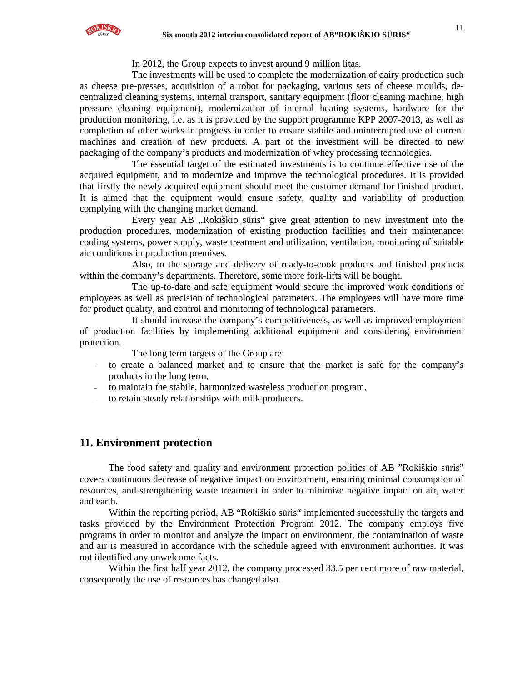In 2012, the Group expects to invest around 9 million litas.

The investments will be used to complete the modernization of dairy production such as cheese pre-presses, acquisition of a robot for packaging, various sets of cheese moulds, decentralized cleaning systems, internal transport, sanitary equipment (floor cleaning machine, high pressure cleaning equipment), modernization of internal heating systems, hardware for the production monitoring, i.e. as it is provided by the support programme KPP 2007-2013, as well as completion of other works in progress in order to ensure stabile and uninterrupted use of current machines and creation of new products. A part of the investment will be directed to new packaging of the company's products and modernization of whey processing technologies.

The essential target of the estimated investments is to continue effective use of the acquired equipment, and to modernize and improve the technological procedures. It is provided that firstly the newly acquired equipment should meet the customer demand for finished product. It is aimed that the equipment would ensure safety, quality and variability of production complying with the changing market demand.

Every year AB "Rokiškio sūris" give great attention to new investment into the production procedures, modernization of existing production facilities and their maintenance: cooling systems, power supply, waste treatment and utilization, ventilation, monitoring of suitable air conditions in production premises.

Also, to the storage and delivery of ready-to-cook products and finished products within the company's departments. Therefore, some more fork-lifts will be bought.

The up-to-date and safe equipment would secure the improved work conditions of employees as well as precision of technological parameters. The employees will have more time for product quality, and control and monitoring of technological parameters.

It should increase the company's competitiveness, as well as improved employment of production facilities by implementing additional equipment and considering environment protection.

The long term targets of the Group are:

- to create a balanced market and to ensure that the market is safe for the company's products in the long term,
- to maintain the stabile, harmonized wasteless production program,
- to retain steady relationships with milk producers.

## **11. Environment protection**

The food safety and quality and environment protection politics of AB "Rokiškio sūris" covers continuous decrease of negative impact on environment, ensuring minimal consumption of resources, and strengthening waste treatment in order to minimize negative impact on air, water and earth.

Within the reporting period, AB "Rokiškio sūris" implemented successfully the targets and tasks provided by the Environment Protection Program 2012. The company employs five programs in order to monitor and analyze the impact on environment, the contamination of waste and air is measured in accordance with the schedule agreed with environment authorities. It was not identified any unwelcome facts.

Within the first half year 2012, the company processed 33.5 per cent more of raw material, consequently the use of resources has changed also.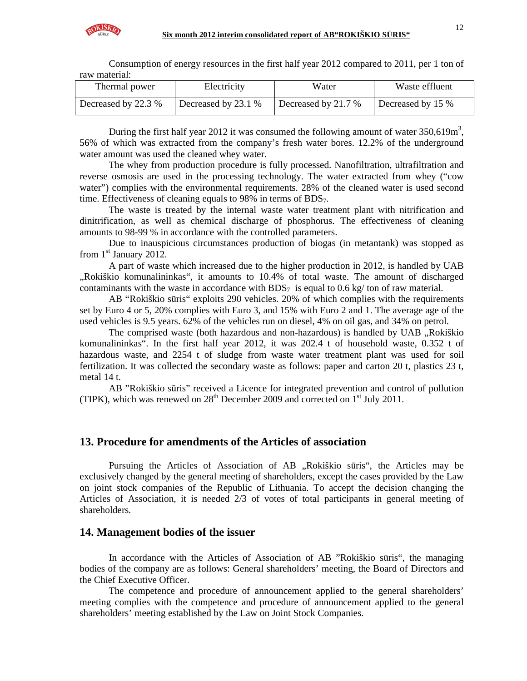

Consumption of energy resources in the first half year 2012 compared to 2011, per 1 ton of raw material:

| Thermal power       | Electricity         | Water               | Waste effluent    |
|---------------------|---------------------|---------------------|-------------------|
| Decreased by 22.3 % | Decreased by 23.1 % | Decreased by 21.7 % | Decreased by 15 % |

During the first half year 2012 it was consumed the following amount of water  $350,619m^3$ , 56% of which was extracted from the company's fresh water bores. 12.2% of the underground water amount was used the cleaned whey water.

The whey from production procedure is fully processed. Nanofiltration, ultrafiltration and reverse osmosis are used in the processing technology. The water extracted from whey ("cow water") complies with the environmental requirements. 28% of the cleaned water is used second time. Effectiveness of cleaning equals to 98% in terms of BDS<sub>7</sub>.

The waste is treated by the internal waste water treatment plant with nitrification and dinitrification, as well as chemical discharge of phosphorus. The effectiveness of cleaning amounts to 98-99 % in accordance with the controlled parameters.

Due to inauspicious circumstances production of biogas (in metantank) was stopped as from  $1<sup>st</sup>$  January 2012.

A part of waste which increased due to the higher production in 2012, is handled by UAB "Rokiškio komunalininkas", it amounts to 10.4% of total waste. The amount of discharged contaminants with the waste in accordance with  $BDS<sub>7</sub>$  is equal to 0.6 kg/ ton of raw material.

AB "Rokiškio sūris" exploits 290 vehicles. 20% of which complies with the requirements set by Euro 4 or 5, 20% complies with Euro 3, and 15% with Euro 2 and 1. The average age of the used vehicles is 9.5 years. 62% of the vehicles run on diesel, 4% on oil gas, and 34% on petrol.

The comprised waste (both hazardous and non-hazardous) is handled by UAB .,Rokiškio komunalininkas". In the first half year 2012, it was 202.4 t of household waste, 0.352 t of hazardous waste, and 2254 t of sludge from waste water treatment plant was used for soil fertilization. It was collected the secondary waste as follows: paper and carton 20 t, plastics 23 t, metal 14 t.

AB "Rokiškio sūris" received a Licence for integrated prevention and control of pollution (TIPK), which was renewed on  $28<sup>th</sup>$  December 2009 and corrected on  $1<sup>st</sup>$  July 2011.

## **13. Procedure for amendments of the Articles of association**

Pursuing the Articles of Association of AB "Rokiškio sūris", the Articles may be exclusively changed by the general meeting of shareholders, except the cases provided by the Law on joint stock companies of the Republic of Lithuania. To accept the decision changing the Articles of Association, it is needed 2/3 of votes of total participants in general meeting of shareholders.

## **14. Management bodies of the issuer**

In accordance with the Articles of Association of AB "Rokiškio sūris", the managing bodies of the company are as follows: General shareholders' meeting, the Board of Directors and the Chief Executive Officer.

The competence and procedure of announcement applied to the general shareholders' meeting complies with the competence and procedure of announcement applied to the general shareholders' meeting established by the Law on Joint Stock Companies.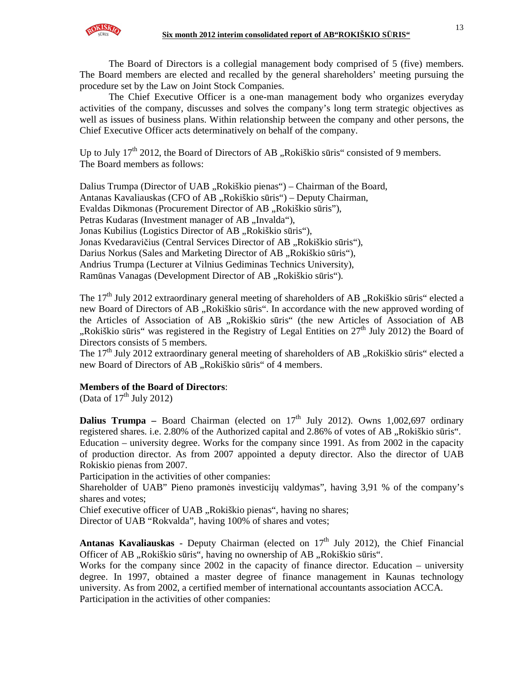

The Board of Directors is a collegial management body comprised of 5 (five) members. The Board members are elected and recalled by the general shareholders' meeting pursuing the procedure set by the Law on Joint Stock Companies.

The Chief Executive Officer is a one-man management body who organizes everyday activities of the company, discusses and solves the company's long term strategic objectives as well as issues of business plans. Within relationship between the company and other persons, the Chief Executive Officer acts determinatively on behalf of the company.

Up to July  $17<sup>th</sup>$  2012, the Board of Directors of AB "Rokiškio sūris" consisted of 9 members. The Board members as follows:

Dalius Trumpa (Director of UAB "Rokiškio pienas") – Chairman of the Board, Antanas Kavaliauskas (CFO of AB "Rokiškio sūris") – Deputy Chairman, Evaldas Dikmonas (Procurement Director of AB "Rokiškio sūris"), Petras Kudaras (Investment manager of AB "Invalda"), Jonas Kubilius (Logistics Director of AB "Rokiškio sūris"), Jonas Kvedaravičius (Central Services Director of AB "Rokiškio sūris"), Darius Norkus (Sales and Marketing Director of AB "Rokiškio sūris"), Andrius Trumpa (Lecturer at Vilnius Gediminas Technics University), Ramūnas Vanagas (Development Director of AB "Rokiškio sūris").

The 17<sup>th</sup> July 2012 extraordinary general meeting of shareholders of AB "Rokiškio sūris" elected a new Board of Directors of AB "Rokiškio sūris". In accordance with the new approved wording of the Articles of Association of AB "Rokiškio sūris" (the new Articles of Association of AB ",Rokiškio sūris" was registered in the Registry of Legal Entities on  $27<sup>th</sup>$  July 2012) the Board of Directors consists of 5 members.

The  $17<sup>th</sup>$  July 2012 extraordinary general meeting of shareholders of AB . Rokiškio sūris" elected a new Board of Directors of AB "Rokiškio sūris" of 4 members.

### **Members of the Board of Directors**:

(Data of  $17<sup>th</sup>$  July 2012)

**Dalius Trumpa** – Board Chairman (elected on  $17<sup>th</sup>$  July 2012). Owns 1,002,697 ordinary registered shares. i.e. 2.80% of the Authorized capital and 2.86% of votes of AB "Rokiškio sūris". Education – university degree. Works for the company since 1991. As from 2002 in the capacity of production director. As from 2007 appointed a deputy director. Also the director of UAB Rokiskio pienas from 2007.

Participation in the activities of other companies:

Shareholder of UAB" Pieno pramonės investicijų valdymas", having 3,91 % of the company's shares and votes;

Chief executive officer of UAB "Rokiškio pienas", having no shares;

Director of UAB "Rokvalda", having 100% of shares and votes;

Antanas Kavaliauskas - Deputy Chairman (elected on 17<sup>th</sup> July 2012), the Chief Financial Officer of AB "Rokiškio sūris", having no ownership of AB "Rokiškio sūris".

Works for the company since 2002 in the capacity of finance director. Education – university degree. In 1997, obtained a master degree of finance management in Kaunas technology university. As from 2002, a certified member of international accountants association ACCA. Participation in the activities of other companies: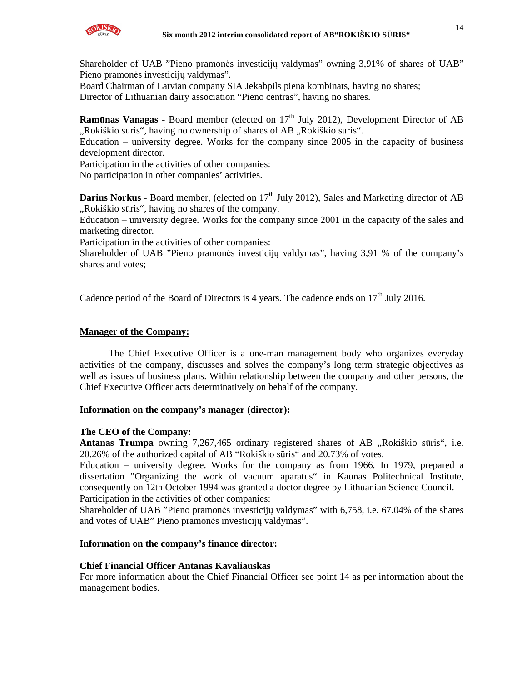

Shareholder of UAB "Pieno pramonės investicijų valdymas" owning 3,91% of shares of UAB" Pieno pramonės investicijų valdymas".

Board Chairman of Latvian company SIA Jekabpils piena kombinats, having no shares; Director of Lithuanian dairy association "Pieno centras", having no shares.

**Ramūnas Vanagas -** Board member (elected on 17<sup>th</sup> July 2012), Development Director of AB "Rokiškio sūris", having no ownership of shares of AB "Rokiškio sūris".

Education – university degree. Works for the company since 2005 in the capacity of business development director.

Participation in the activities of other companies:

No participation in other companies' activities.

**Darius Norkus - Board member, (elected on 17<sup>th</sup> July 2012), Sales and Marketing director of AB** "Rokiškio sūris", having no shares of the company.

Education – university degree. Works for the company since 2001 in the capacity of the sales and marketing director.

Participation in the activities of other companies:

Shareholder of UAB "Pieno pramonės investicijų valdymas", having 3,91 % of the company's shares and votes;

Cadence period of the Board of Directors is 4 years. The cadence ends on  $17<sup>th</sup>$  July 2016.

### **Manager of the Company:**

The Chief Executive Officer is a one-man management body who organizes everyday activities of the company, discusses and solves the company's long term strategic objectives as well as issues of business plans. Within relationship between the company and other persons, the Chief Executive Officer acts determinatively on behalf of the company.

### **Information on the company's manager (director):**

### **The CEO of the Company:**

Antanas Trumpa owning 7,267,465 ordinary registered shares of AB "Rokiškio sūris", i.e. 20.26% of the authorized capital of AB "Rokiškio sūris" and 20.73% of votes.

Education – university degree. Works for the company as from 1966. In 1979, prepared a dissertation "Organizing the work of vacuum aparatus" in Kaunas Politechnical Institute, consequently on 12th October 1994 was granted a doctor degree by Lithuanian Science Council. Participation in the activities of other companies:

Shareholder of UAB "Pieno pramonės investicijų valdymas" with 6,758, i.e. 67.04% of the shares and votes of UAB" Pieno pramonės investicijų valdymas".

## **Information on the company's finance director:**

### **Chief Financial Officer Antanas Kavaliauskas**

For more information about the Chief Financial Officer see point 14 as per information about the management bodies.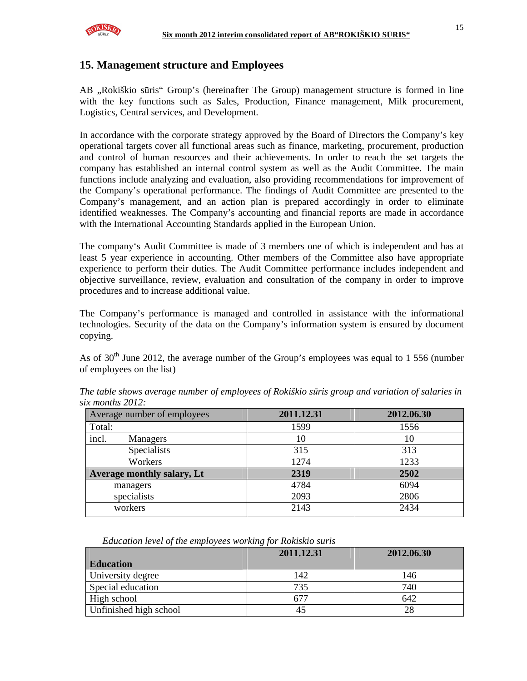

# **15. Management structure and Employees**

AB "Rokiškio sūris" Group's (hereinafter The Group) management structure is formed in line with the key functions such as Sales, Production, Finance management, Milk procurement, Logistics, Central services, and Development.

In accordance with the corporate strategy approved by the Board of Directors the Company's key operational targets cover all functional areas such as finance, marketing, procurement, production and control of human resources and their achievements. In order to reach the set targets the company has established an internal control system as well as the Audit Committee. The main functions include analyzing and evaluation, also providing recommendations for improvement of the Company's operational performance. The findings of Audit Committee are presented to the Company's management, and an action plan is prepared accordingly in order to eliminate identified weaknesses. The Company's accounting and financial reports are made in accordance with the International Accounting Standards applied in the European Union.

The company's Audit Committee is made of 3 members one of which is independent and has at least 5 year experience in accounting. Other members of the Committee also have appropriate experience to perform their duties. The Audit Committee performance includes independent and objective surveillance, review, evaluation and consultation of the company in order to improve procedures and to increase additional value.

The Company's performance is managed and controlled in assistance with the informational technologies. Security of the data on the Company's information system is ensured by document copying.

As of  $30<sup>th</sup>$  June 2012, the average number of the Group's employees was equal to 1 556 (number of employees on the list)

| Average number of employees | 2011.12.31 | 2012.06.30 |  |
|-----------------------------|------------|------------|--|
| Total:                      | 1599       | 1556       |  |
| incl.<br>Managers           | 10         | 10         |  |
| Specialists                 | 315        | 313        |  |
| Workers                     | 1274       | 1233       |  |
| Average monthly salary, Lt  | 2319       | 2502       |  |
| managers                    | 4784       | 6094       |  |
| specialists                 | 2093       | 2806       |  |
| workers                     | 2143       | 2434       |  |

*The table shows average number of employees of Rokiškio s*ū*ris group and variation of salaries in six months 2012:* 

*Education level of the employees working for Rokiskio suris* 

|                        | 2011.12.31 | 2012.06.30 |  |
|------------------------|------------|------------|--|
| <b>Education</b>       |            |            |  |
| University degree      | 142        | 146        |  |
| Special education      | 735        | 740        |  |
| High school            | 677        | 642        |  |
| Unfinished high school | 45         | 28         |  |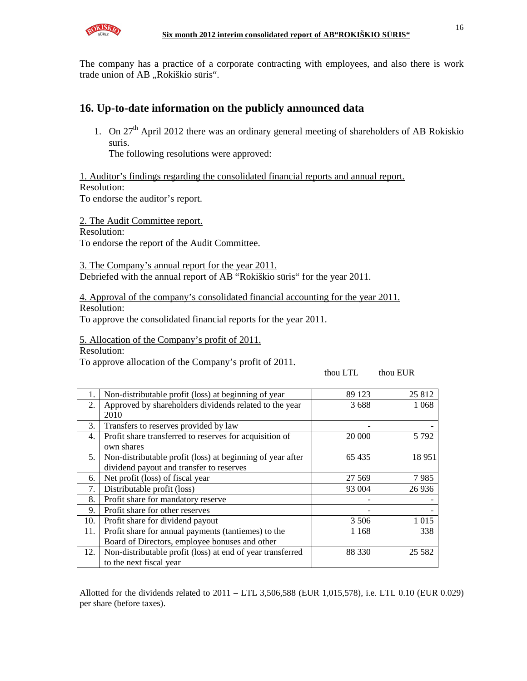

The company has a practice of a corporate contracting with employees, and also there is work trade union of AB "Rokiškio sūris".

# **16. Up-to-date information on the publicly announced data**

1. On  $27<sup>th</sup>$  April 2012 there was an ordinary general meeting of shareholders of AB Rokiskio suris.

The following resolutions were approved:

1. Auditor's findings regarding the consolidated financial reports and annual report. Resolution:

To endorse the auditor's report.

2. The Audit Committee report.

Resolution:

To endorse the report of the Audit Committee.

3. The Company's annual report for the year 2011. Debriefed with the annual report of AB "Rokiškio sūris" for the year 2011.

4. Approval of the company's consolidated financial accounting for the year 2011.

Resolution:

To approve the consolidated financial reports for the year 2011.

5. Allocation of the Company's profit of 2011.

Resolution:

To approve allocation of the Company's profit of 2011.

thou LTL thou EUR

| 1.  | Non-distributable profit (loss) at beginning of year       | 89 123  | 25 812   |
|-----|------------------------------------------------------------|---------|----------|
| 2.  | Approved by shareholders dividends related to the year     | 3688    | 1 0 6 8  |
|     | 2010                                                       |         |          |
| 3.  | Transfers to reserves provided by law                      |         |          |
| 4.  | Profit share transferred to reserves for acquisition of    | 20 000  | 5 7 9 2  |
|     | own shares                                                 |         |          |
| 5.  | Non-distributable profit (loss) at beginning of year after | 65435   | 18951    |
|     | dividend payout and transfer to reserves                   |         |          |
| 6.  | Net profit (loss) of fiscal year                           | 27 5 69 | 7985     |
| 7.  | Distributable profit (loss)                                | 93 004  | 26 9 36  |
| 8.  | Profit share for mandatory reserve                         |         |          |
| 9.  | Profit share for other reserves                            |         |          |
| 10. | Profit share for dividend payout                           | 3 5 0 6 | 1 0 1 5  |
| 11. | Profit share for annual payments (tantiemes) to the        | 1 1 6 8 | 338      |
|     | Board of Directors, employee bonuses and other             |         |          |
| 12. | Non-distributable profit (loss) at end of year transferred | 88 330  | 25 5 8 2 |
|     | to the next fiscal year                                    |         |          |

Allotted for the dividends related to 2011 – LTL 3,506,588 (EUR 1,015,578), i.e. LTL 0.10 (EUR 0.029) per share (before taxes).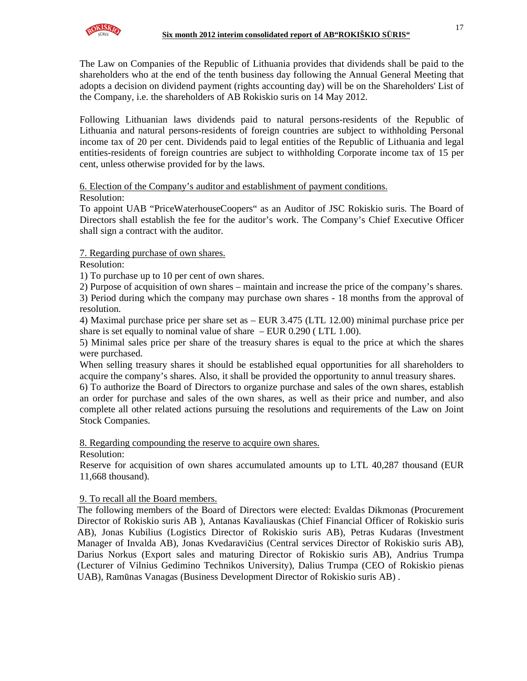

The Law on Companies of the Republic of Lithuania provides that dividends shall be paid to the shareholders who at the end of the tenth business day following the Annual General Meeting that adopts a decision on dividend payment (rights accounting day) will be on the Shareholders' List of the Company, i.e. the shareholders of AB Rokiskio suris on 14 May 2012.

Following Lithuanian laws dividends paid to natural persons-residents of the Republic of Lithuania and natural persons-residents of foreign countries are subject to withholding Personal income tax of 20 per cent. Dividends paid to legal entities of the Republic of Lithuania and legal entities-residents of foreign countries are subject to withholding Corporate income tax of 15 per cent, unless otherwise provided for by the laws.

# 6. Election of the Company's auditor and establishment of payment conditions.

## Resolution:

To appoint UAB "PriceWaterhouseCoopers" as an Auditor of JSC Rokiskio suris. The Board of Directors shall establish the fee for the auditor's work. The Company's Chief Executive Officer shall sign a contract with the auditor.

## 7. Regarding purchase of own shares.

Resolution:

1) To purchase up to 10 per cent of own shares.

2) Purpose of acquisition of own shares – maintain and increase the price of the company's shares.

3) Period during which the company may purchase own shares - 18 months from the approval of resolution.

4) Maximal purchase price per share set as – EUR 3.475 (LTL 12.00) minimal purchase price per share is set equally to nominal value of share – EUR 0.290 ( LTL 1.00).

5) Minimal sales price per share of the treasury shares is equal to the price at which the shares were purchased.

When selling treasury shares it should be established equal opportunities for all shareholders to acquire the company's shares. Also, it shall be provided the opportunity to annul treasury shares.

6) To authorize the Board of Directors to organize purchase and sales of the own shares, establish an order for purchase and sales of the own shares, as well as their price and number, and also complete all other related actions pursuing the resolutions and requirements of the Law on Joint Stock Companies.

8. Regarding compounding the reserve to acquire own shares.

Resolution:

Reserve for acquisition of own shares accumulated amounts up to LTL 40,287 thousand (EUR 11,668 thousand).

## 9. To recall all the Board members.

The following members of the Board of Directors were elected: Evaldas Dikmonas (Procurement Director of Rokiskio suris AB ), Antanas Kavaliauskas (Chief Financial Officer of Rokiskio suris AB), Jonas Kubilius (Logistics Director of Rokiskio suris AB), Petras Kudaras (Investment Manager of Invalda AB), Jonas Kvedaravičius (Central services Director of Rokiskio suris AB), Darius Norkus (Export sales and maturing Director of Rokiskio suris AB), Andrius Trumpa (Lecturer of Vilnius Gedimino Technikos University), Dalius Trumpa (CEO of Rokiskio pienas UAB), Ramūnas Vanagas (Business Development Director of Rokiskio suris AB) .